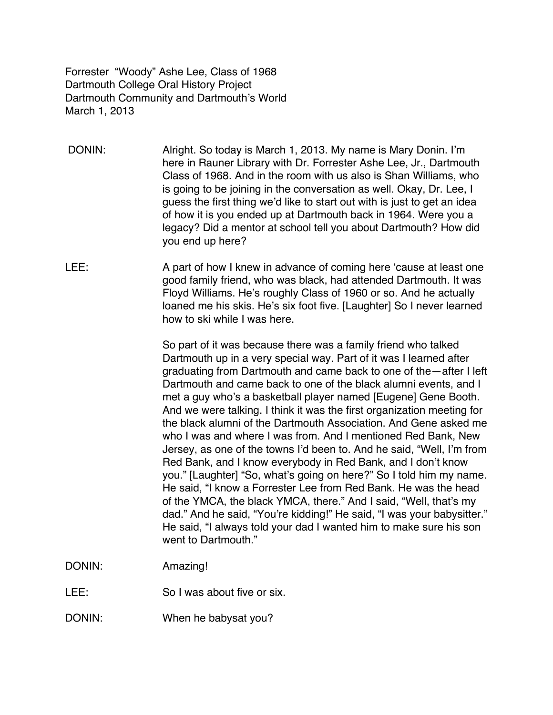Forrester "Woody" Ashe Lee, Class of 1968 Dartmouth College Oral History Project Dartmouth Community and Dartmouth's World March 1, 2013

- DONIN: Alright. So today is March 1, 2013. My name is Mary Donin. I'm here in Rauner Library with Dr. Forrester Ashe Lee, Jr., Dartmouth Class of 1968. And in the room with us also is Shan Williams, who is going to be joining in the conversation as well. Okay, Dr. Lee, I guess the first thing we'd like to start out with is just to get an idea of how it is you ended up at Dartmouth back in 1964. Were you a legacy? Did a mentor at school tell you about Dartmouth? How did you end up here?
- LEE: A part of how I knew in advance of coming here 'cause at least one good family friend, who was black, had attended Dartmouth. It was Floyd Williams. He's roughly Class of 1960 or so. And he actually loaned me his skis. He's six foot five. [Laughter] So I never learned how to ski while I was here.

So part of it was because there was a family friend who talked Dartmouth up in a very special way. Part of it was I learned after graduating from Dartmouth and came back to one of the—after I left Dartmouth and came back to one of the black alumni events, and I met a guy who's a basketball player named [Eugene] Gene Booth. And we were talking. I think it was the first organization meeting for the black alumni of the Dartmouth Association. And Gene asked me who I was and where I was from. And I mentioned Red Bank, New Jersey, as one of the towns I'd been to. And he said, "Well, I'm from Red Bank, and I know everybody in Red Bank, and I don't know you." [Laughter] "So, what's going on here?" So I told him my name. He said, "I know a Forrester Lee from Red Bank. He was the head of the YMCA, the black YMCA, there." And I said, "Well, that's my dad." And he said, "You're kidding!" He said, "I was your babysitter." He said, "I always told your dad I wanted him to make sure his son went to Dartmouth."

- DONIN: Amazing!
- LEE: So I was about five or six.
- DONIN: When he babysat you?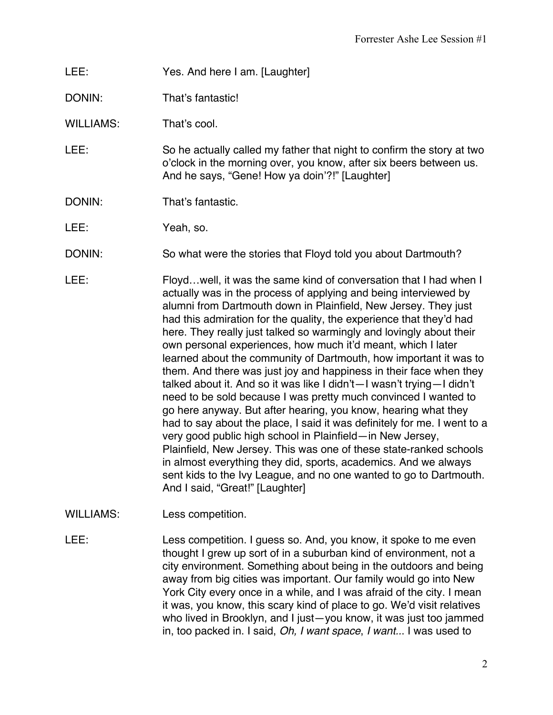- LEE: Yes. And here I am. [Laughter]
- DONIN: That's fantastic!

WILLIAMS: That's cool.

- LEE: So he actually called my father that night to confirm the story at two o'clock in the morning over, you know, after six beers between us. And he says, "Gene! How ya doin'?!" [Laughter]
- DONIN: That's fantastic.

LEE: Yeah, so.

- DONIN: So what were the stories that Floyd told you about Dartmouth?
- LEE: Floyd...well, it was the same kind of conversation that I had when I actually was in the process of applying and being interviewed by alumni from Dartmouth down in Plainfield, New Jersey. They just had this admiration for the quality, the experience that they'd had here. They really just talked so warmingly and lovingly about their own personal experiences, how much it'd meant, which I later learned about the community of Dartmouth, how important it was to them. And there was just joy and happiness in their face when they talked about it. And so it was like I didn't—I wasn't trying—I didn't need to be sold because I was pretty much convinced I wanted to go here anyway. But after hearing, you know, hearing what they had to say about the place, I said it was definitely for me. I went to a very good public high school in Plainfield—in New Jersey, Plainfield, New Jersey. This was one of these state-ranked schools in almost everything they did, sports, academics. And we always sent kids to the Ivy League, and no one wanted to go to Dartmouth. And I said, "Great!" [Laughter]
- WILLIAMS: Less competition.
- LEE: Less competition. I guess so. And, you know, it spoke to me even thought I grew up sort of in a suburban kind of environment, not a city environment. Something about being in the outdoors and being away from big cities was important. Our family would go into New York City every once in a while, and I was afraid of the city. I mean it was, you know, this scary kind of place to go. We'd visit relatives who lived in Brooklyn, and I just—you know, it was just too jammed in, too packed in. I said, *Oh, I want space*, *I want..*. I was used to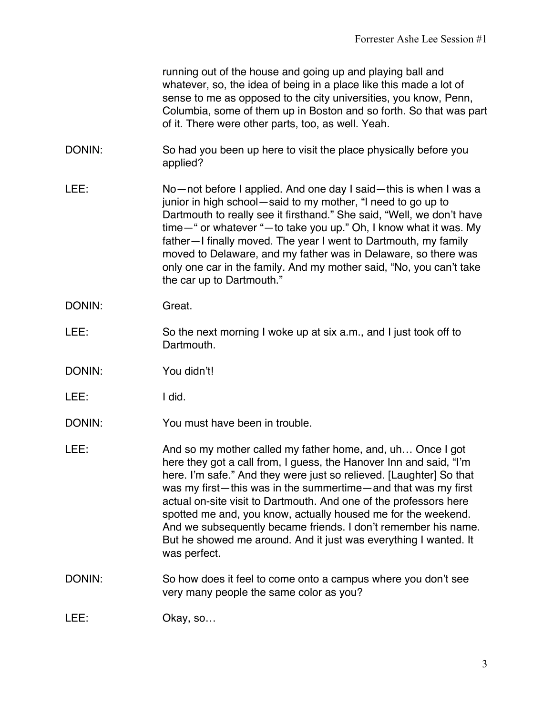running out of the house and going up and playing ball and whatever, so, the idea of being in a place like this made a lot of sense to me as opposed to the city universities, you know, Penn, Columbia, some of them up in Boston and so forth. So that was part of it. There were other parts, too, as well. Yeah.

- DONIN: So had you been up here to visit the place physically before you applied?
- LEE: No—not before I applied. And one day I said—this is when I was a junior in high school—said to my mother, "I need to go up to Dartmouth to really see it firsthand." She said, "Well, we don't have time—" or whatever "—to take you up." Oh, I know what it was. My father—I finally moved. The year I went to Dartmouth, my family moved to Delaware, and my father was in Delaware, so there was only one car in the family. And my mother said, "No, you can't take the car up to Dartmouth."
- DONIN: Great.
- LEE: So the next morning I woke up at six a.m., and I just took off to Dartmouth.
- DONIN: You didn't!
- LEE: I did.
- DONIN: You must have been in trouble.
- LEE: And so my mother called my father home, and, uh… Once I got here they got a call from, I guess, the Hanover Inn and said, "I'm here. I'm safe." And they were just so relieved. [Laughter] So that was my first—this was in the summertime—and that was my first actual on-site visit to Dartmouth. And one of the professors here spotted me and, you know, actually housed me for the weekend. And we subsequently became friends. I don't remember his name. But he showed me around. And it just was everything I wanted. It was perfect.
- DONIN: So how does it feel to come onto a campus where you don't see very many people the same color as you?
- LEE: Okay, so...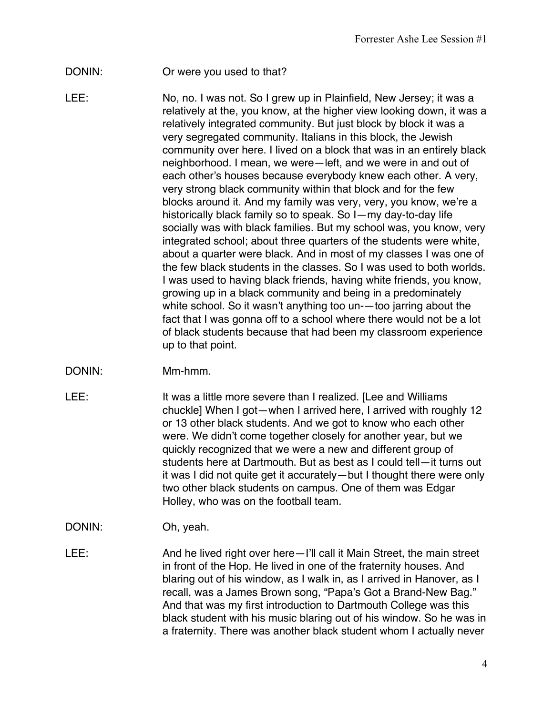#### DONIN: Or were you used to that?

LEE: No, no. I was not. So I grew up in Plainfield, New Jersey; it was a relatively at the, you know, at the higher view looking down, it was a relatively integrated community. But just block by block it was a very segregated community. Italians in this block, the Jewish community over here. I lived on a block that was in an entirely black neighborhood. I mean, we were—left, and we were in and out of each other's houses because everybody knew each other. A very, very strong black community within that block and for the few blocks around it. And my family was very, very, you know, we're a historically black family so to speak. So I—my day-to-day life socially was with black families. But my school was, you know, very integrated school; about three quarters of the students were white, about a quarter were black. And in most of my classes I was one of the few black students in the classes. So I was used to both worlds. I was used to having black friends, having white friends, you know, growing up in a black community and being in a predominately white school. So it wasn't anything too un-—too jarring about the fact that I was gonna off to a school where there would not be a lot of black students because that had been my classroom experience up to that point.

#### DONIN: Mm-hmm.

- LEE: It was a little more severe than I realized. [Lee and Williams] chuckle] When I got—when I arrived here, I arrived with roughly 12 or 13 other black students. And we got to know who each other were. We didn't come together closely for another year, but we quickly recognized that we were a new and different group of students here at Dartmouth. But as best as I could tell—it turns out it was I did not quite get it accurately—but I thought there were only two other black students on campus. One of them was Edgar Holley, who was on the football team.
- DONIN: Oh, yeah.
- LEE: And he lived right over here—I'll call it Main Street, the main street in front of the Hop. He lived in one of the fraternity houses. And blaring out of his window, as I walk in, as I arrived in Hanover, as I recall, was a James Brown song, "Papa's Got a Brand-New Bag." And that was my first introduction to Dartmouth College was this black student with his music blaring out of his window. So he was in a fraternity. There was another black student whom I actually never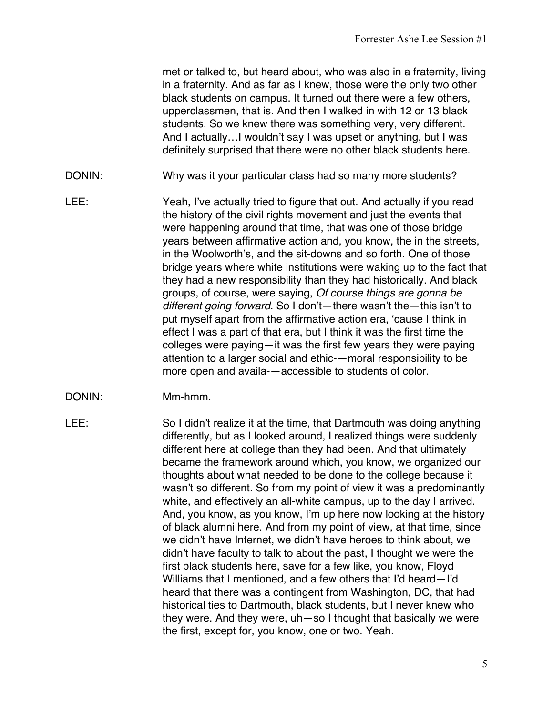met or talked to, but heard about, who was also in a fraternity, living in a fraternity. And as far as I knew, those were the only two other black students on campus. It turned out there were a few others, upperclassmen, that is. And then I walked in with 12 or 13 black students. So we knew there was something very, very different. And I actually…I wouldn't say I was upset or anything, but I was definitely surprised that there were no other black students here.

- DONIN: Why was it your particular class had so many more students?
- LEE: Yeah, I've actually tried to figure that out. And actually if you read the history of the civil rights movement and just the events that were happening around that time, that was one of those bridge years between affirmative action and, you know, the in the streets, in the Woolworth's, and the sit-downs and so forth. One of those bridge years where white institutions were waking up to the fact that they had a new responsibility than they had historically. And black groups, of course, were saying, *Of course things are gonna be different going forward*. So I don't—there wasn't the—this isn't to put myself apart from the affirmative action era, 'cause I think in effect I was a part of that era, but I think it was the first time the colleges were paying—it was the first few years they were paying attention to a larger social and ethic-—moral responsibility to be more open and availa-—accessible to students of color.
- DONIN: Mm-hmm.
- 

LEE: So I didn't realize it at the time, that Dartmouth was doing anything differently, but as I looked around, I realized things were suddenly different here at college than they had been. And that ultimately became the framework around which, you know, we organized our thoughts about what needed to be done to the college because it wasn't so different. So from my point of view it was a predominantly white, and effectively an all-white campus, up to the day I arrived. And, you know, as you know, I'm up here now looking at the history of black alumni here. And from my point of view, at that time, since we didn't have Internet, we didn't have heroes to think about, we didn't have faculty to talk to about the past, I thought we were the first black students here, save for a few like, you know, Floyd Williams that I mentioned, and a few others that I'd heard—I'd heard that there was a contingent from Washington, DC, that had historical ties to Dartmouth, black students, but I never knew who they were. And they were, uh—so I thought that basically we were the first, except for, you know, one or two. Yeah.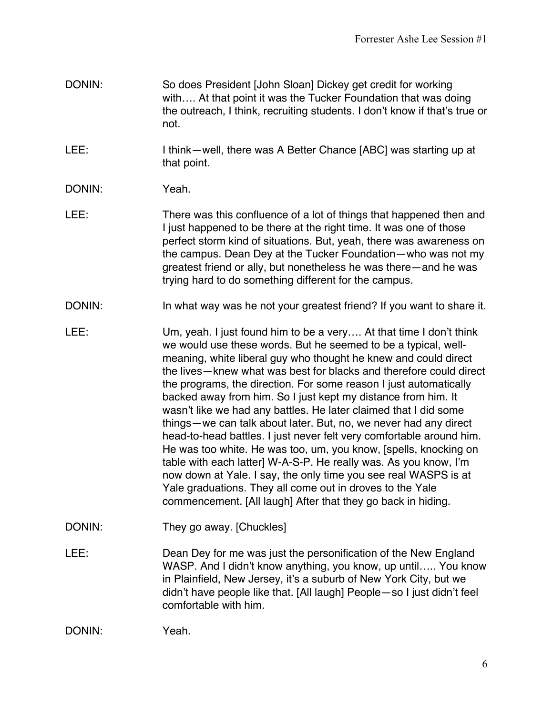- DONIN: So does President [John Sloan] Dickey get credit for working with…. At that point it was the Tucker Foundation that was doing the outreach, I think, recruiting students. I don't know if that's true or not.
- LEE: I think—well, there was A Better Chance [ABC] was starting up at that point.
- DONIN: Yeah.
- LEE: There was this confluence of a lot of things that happened then and I just happened to be there at the right time. It was one of those perfect storm kind of situations. But, yeah, there was awareness on the campus. Dean Dey at the Tucker Foundation—who was not my greatest friend or ally, but nonetheless he was there—and he was trying hard to do something different for the campus.
- DONIN: In what way was he not your greatest friend? If you want to share it.
- LEE: Um, yeah. I just found him to be a very.... At that time I don't think we would use these words. But he seemed to be a typical, wellmeaning, white liberal guy who thought he knew and could direct the lives—knew what was best for blacks and therefore could direct the programs, the direction. For some reason I just automatically backed away from him. So I just kept my distance from him. It wasn't like we had any battles. He later claimed that I did some things—we can talk about later. But, no, we never had any direct head-to-head battles. I just never felt very comfortable around him. He was too white. He was too, um, you know, [spells, knocking on table with each latter] W-A-S-P. He really was. As you know, I'm now down at Yale. I say, the only time you see real WASPS is at Yale graduations. They all come out in droves to the Yale commencement. [All laugh] After that they go back in hiding.
- DONIN: They go away. [Chuckles]
- LEE: Dean Dey for me was just the personification of the New England WASP. And I didn't know anything, you know, up until..... You know in Plainfield, New Jersey, it's a suburb of New York City, but we didn't have people like that. [All laugh] People—so I just didn't feel comfortable with him.

```
DONIN: Yeah.
```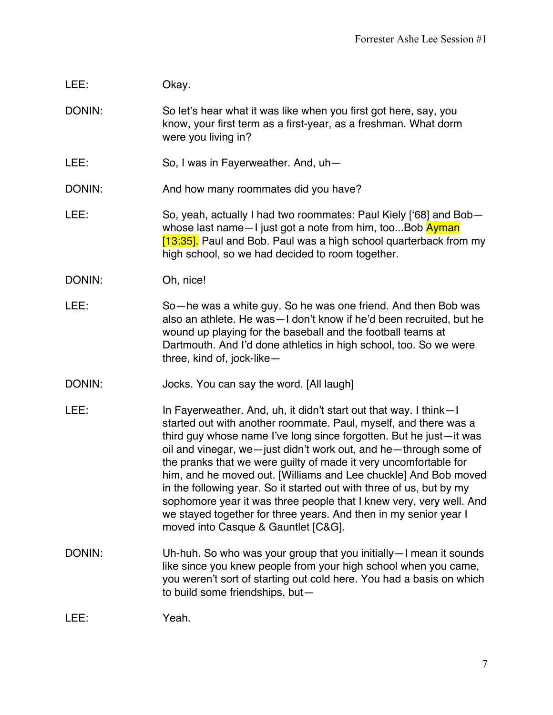# LEE: Okay.

DONIN: So let's hear what it was like when you first got here, say, you know, your first term as a first-year, as a freshman. What dorm were you living in?

- LEE: So, I was in Fayerweather. And, uh-
- DONIN: And how many roommates did you have?
- LEE: So, yeah, actually I had two roommates: Paul Kiely ['68] and Bob whose last name—I just got a note from him, too...Bob **Ayman** [13:35]. Paul and Bob. Paul was a high school quarterback from my high school, so we had decided to room together.

#### DONIN: Oh, nice!

- LEE: So—he was a white guy. So he was one friend. And then Bob was also an athlete. He was—I don't know if he'd been recruited, but he wound up playing for the baseball and the football teams at Dartmouth. And I'd done athletics in high school, too. So we were three, kind of, jock-like—
- DONIN: Jocks. You can say the word. [All laugh]
- LEE: In Fayerweather. And, uh, it didn't start out that way. I think—I started out with another roommate. Paul, myself, and there was a third guy whose name I've long since forgotten. But he just—it was oil and vinegar, we—just didn't work out, and he—through some of the pranks that we were guilty of made it very uncomfortable for him, and he moved out. [Williams and Lee chuckle] And Bob moved in the following year. So it started out with three of us, but by my sophomore year it was three people that I knew very, very well. And we stayed together for three years. And then in my senior year I moved into Casque & Gauntlet [C&G].
- DONIN: Uh-huh. So who was your group that you initially—I mean it sounds like since you knew people from your high school when you came, you weren't sort of starting out cold here. You had a basis on which to build some friendships, but—

LEE: Yeah.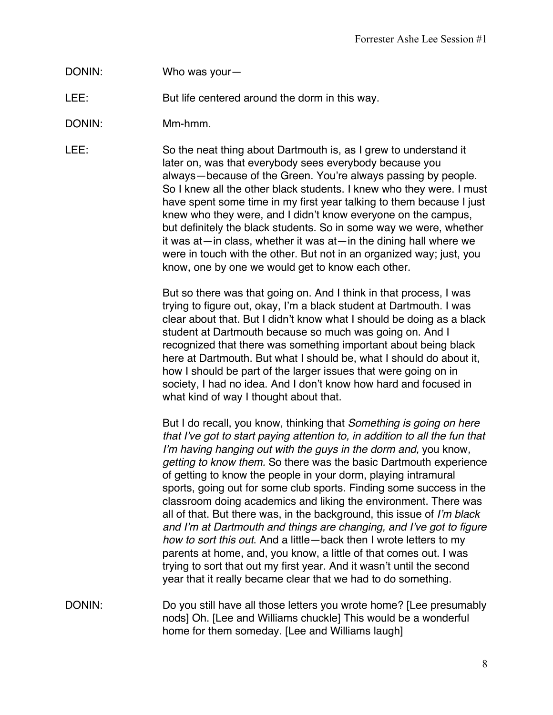## DONIN: Who was your—

LEE: But life centered around the dorm in this way.

DONIN: Mm-hmm.

LEE: So the neat thing about Dartmouth is, as I grew to understand it later on, was that everybody sees everybody because you always—because of the Green. You're always passing by people. So I knew all the other black students. I knew who they were. I must have spent some time in my first year talking to them because I just knew who they were, and I didn't know everyone on the campus, but definitely the black students. So in some way we were, whether it was at—in class, whether it was at—in the dining hall where we were in touch with the other. But not in an organized way; just, you know, one by one we would get to know each other.

> But so there was that going on. And I think in that process, I was trying to figure out, okay, I'm a black student at Dartmouth. I was clear about that. But I didn't know what I should be doing as a black student at Dartmouth because so much was going on. And I recognized that there was something important about being black here at Dartmouth. But what I should be, what I should do about it, how I should be part of the larger issues that were going on in society, I had no idea. And I don't know how hard and focused in what kind of way I thought about that.

> But I do recall, you know, thinking that *Something is going on here that I've got to start paying attention to, in addition to all the fun that I'm having hanging out with the guys in the dorm and,* you know*, getting to know them.* So there was the basic Dartmouth experience of getting to know the people in your dorm, playing intramural sports, going out for some club sports. Finding some success in the classroom doing academics and liking the environment. There was all of that. But there was, in the background, this issue of *I'm black and I'm at Dartmouth and things are changing, and I've got to figure how to sort this out*. And a little—back then I wrote letters to my parents at home, and, you know, a little of that comes out. I was trying to sort that out my first year. And it wasn't until the second year that it really became clear that we had to do something.

DONIN: Do you still have all those letters you wrote home? [Lee presumably nods] Oh. [Lee and Williams chuckle] This would be a wonderful home for them someday. [Lee and Williams laugh]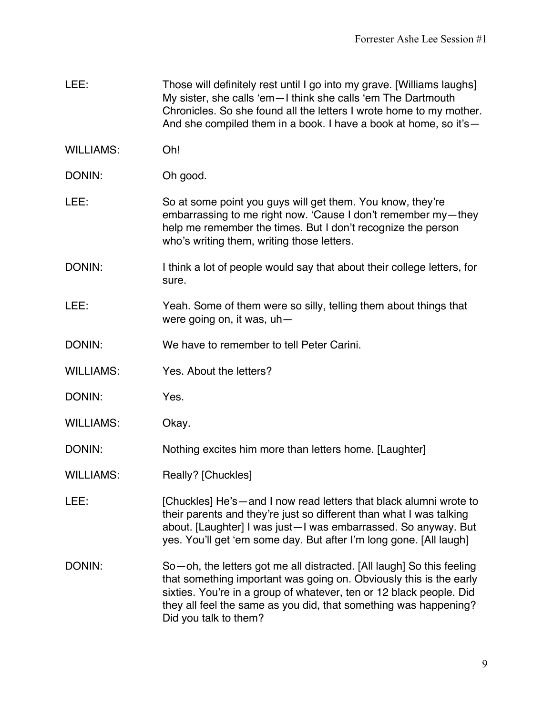- LEE: Those will definitely rest until I go into my grave. [Williams laughs] My sister, she calls 'em—I think she calls 'em The Dartmouth Chronicles. So she found all the letters I wrote home to my mother. And she compiled them in a book. I have a book at home, so it's—
- WILLIAMS: Oh!
- DONIN: Oh good.
- LEE: So at some point you guys will get them. You know, they're embarrassing to me right now. 'Cause I don't remember my—they help me remember the times. But I don't recognize the person who's writing them, writing those letters.
- DONIN: I think a lot of people would say that about their college letters, for sure.
- LEE: Yeah. Some of them were so silly, telling them about things that were going on, it was, uh—
- DONIN: We have to remember to tell Peter Carini.
- WILLIAMS: Yes. About the letters?
- DONIN: Yes.
- WILLIAMS: Okay.
- DONIN: Nothing excites him more than letters home. [Laughter]
- WILLIAMS: Really? [Chuckles]
- LEE: [Chuckles] He's and I now read letters that black alumni wrote to their parents and they're just so different than what I was talking about. [Laughter] I was just—I was embarrassed. So anyway. But yes. You'll get 'em some day. But after I'm long gone. [All laugh]
- DONIN: So—oh, the letters got me all distracted. [All laugh] So this feeling that something important was going on. Obviously this is the early sixties. You're in a group of whatever, ten or 12 black people. Did they all feel the same as you did, that something was happening? Did you talk to them?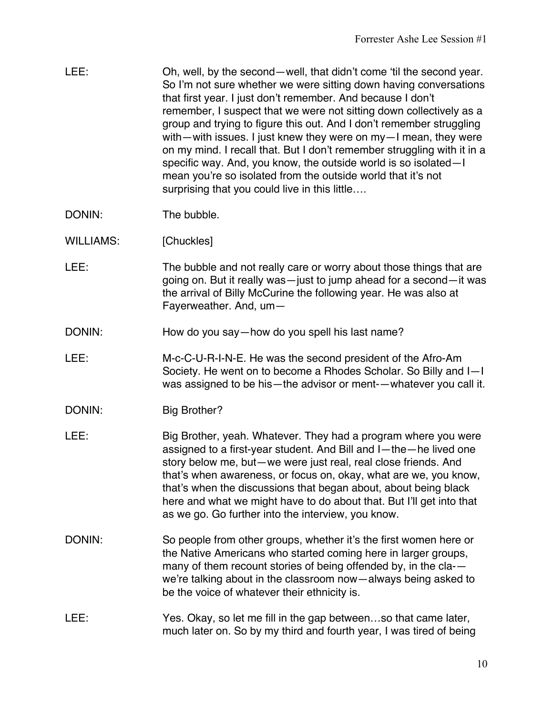| LEE: | Oh, well, by the second—well, that didn't come 'til the second year.    |
|------|-------------------------------------------------------------------------|
|      | So I'm not sure whether we were sitting down having conversations       |
|      | that first year. I just don't remember. And because I don't             |
|      | remember, I suspect that we were not sitting down collectively as a     |
|      | group and trying to figure this out. And I don't remember struggling    |
|      | with—with issues. I just knew they were on my—I mean, they were         |
|      | on my mind. I recall that. But I don't remember struggling with it in a |
|      | specific way. And, you know, the outside world is so isolated-I         |
|      | mean you're so isolated from the outside world that it's not            |
|      | surprising that you could live in this little                           |

- DONIN: The bubble.
- WILLIAMS: [Chuckles]
- LEE: The bubble and not really care or worry about those things that are going on. But it really was—just to jump ahead for a second—it was the arrival of Billy McCurine the following year. He was also at Fayerweather. And, um—
- DONIN: How do you say—how do you spell his last name?
- LEE: M-c-C-U-R-I-N-E. He was the second president of the Afro-Am Society. He went on to become a Rhodes Scholar. So Billy and I—I was assigned to be his—the advisor or ment-—whatever you call it.
- DONIN: Big Brother?
- LEE: Big Brother, yeah. Whatever. They had a program where you were assigned to a first-year student. And Bill and I—the—he lived one story below me, but—we were just real, real close friends. And that's when awareness, or focus on, okay, what are we, you know, that's when the discussions that began about, about being black here and what we might have to do about that. But I'll get into that as we go. Go further into the interview, you know.
- DONIN: So people from other groups, whether it's the first women here or the Native Americans who started coming here in larger groups, many of them recount stories of being offended by, in the cla- we're talking about in the classroom now—always being asked to be the voice of whatever their ethnicity is.
- LEE: Yes. Okay, so let me fill in the gap between...so that came later, much later on. So by my third and fourth year, I was tired of being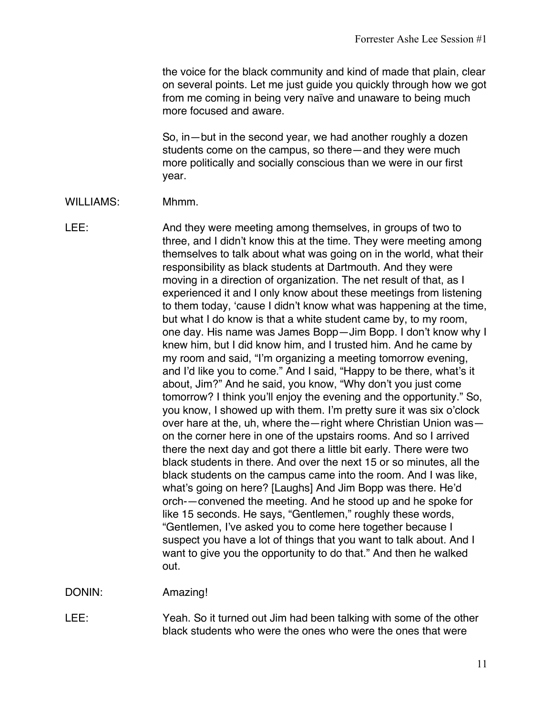the voice for the black community and kind of made that plain, clear on several points. Let me just guide you quickly through how we got from me coming in being very naïve and unaware to being much more focused and aware.

So, in—but in the second year, we had another roughly a dozen students come on the campus, so there—and they were much more politically and socially conscious than we were in our first year.

- WILLIAMS: Mhmm.
- LEE: And they were meeting among themselves, in groups of two to three, and I didn't know this at the time. They were meeting among themselves to talk about what was going on in the world, what their responsibility as black students at Dartmouth. And they were moving in a direction of organization. The net result of that, as I experienced it and I only know about these meetings from listening to them today, 'cause I didn't know what was happening at the time, but what I do know is that a white student came by, to my room, one day. His name was James Bopp—Jim Bopp. I don't know why I knew him, but I did know him, and I trusted him. And he came by my room and said, "I'm organizing a meeting tomorrow evening, and I'd like you to come." And I said, "Happy to be there, what's it about, Jim?" And he said, you know, "Why don't you just come tomorrow? I think you'll enjoy the evening and the opportunity." So, you know, I showed up with them. I'm pretty sure it was six o'clock over hare at the, uh, where the—right where Christian Union was on the corner here in one of the upstairs rooms. And so I arrived there the next day and got there a little bit early. There were two black students in there. And over the next 15 or so minutes, all the black students on the campus came into the room. And I was like, what's going on here? [Laughs] And Jim Bopp was there. He'd orch-—convened the meeting. And he stood up and he spoke for like 15 seconds. He says, "Gentlemen," roughly these words, "Gentlemen, I've asked you to come here together because I suspect you have a lot of things that you want to talk about. And I want to give you the opportunity to do that." And then he walked out.

DONIN: Amazing!

LEE: Yeah. So it turned out Jim had been talking with some of the other black students who were the ones who were the ones that were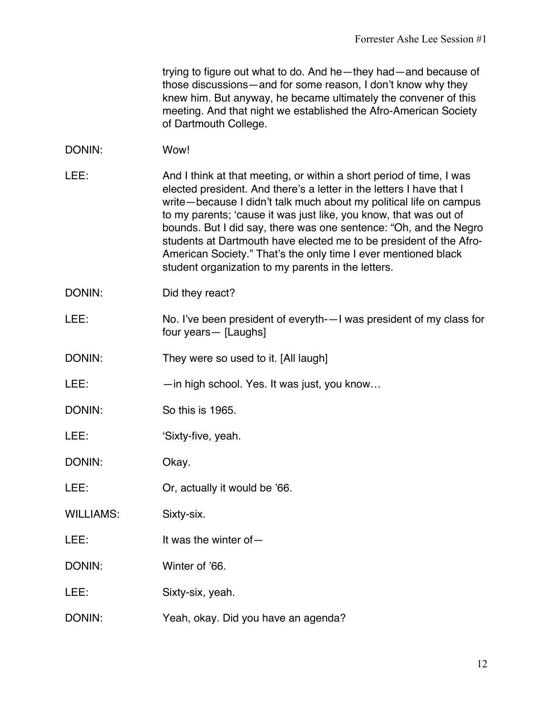trying to figure out what to do. And he—they had—and because of those discussions—and for some reason, I don't know why they knew him. But anyway, he became ultimately the convener of this meeting. And that night we established the Afro-American Society of Dartmouth College.

- DONIN: Wow!
- LEE: And I think at that meeting, or within a short period of time, I was elected president. And there's a letter in the letters I have that I write—because I didn't talk much about my political life on campus to my parents; 'cause it was just like, you know, that was out of bounds. But I did say, there was one sentence: "Oh, and the Negro students at Dartmouth have elected me to be president of the Afro-American Society." That's the only time I ever mentioned black student organization to my parents in the letters.
- DONIN: Did they react?
- LEE: No. I've been president of everyth-—I was president of my class for four years— [Laughs]
- DONIN: They were so used to it. [All laugh]
- LEE: —in high school. Yes. It was just, you know...
- DONIN: So this is 1965.
- LEE: 'Sixty-five, yeah.

DONIN: Okay.

- LEE: Or, actually it would be '66.
- WILLIAMS: Sixty-six.
- LEE: It was the winter of —
- DONIN: Winter of '66.
- LEE: Sixty-six, yeah.
- DONIN: Yeah, okay. Did you have an agenda?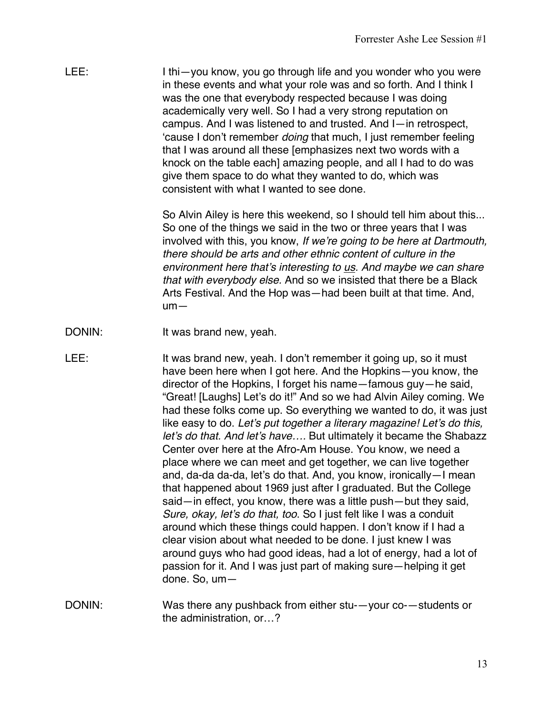| LEE: | I thi - you know, you go through life and you wonder who you were<br>in these events and what your role was and so forth. And I think I |
|------|-----------------------------------------------------------------------------------------------------------------------------------------|
|      | was the one that everybody respected because I was doing                                                                                |
|      | academically very well. So I had a very strong reputation on                                                                            |
|      | campus. And I was listened to and trusted. And I-in retrospect,                                                                         |
|      | 'cause I don't remember <i>doing</i> that much, I just remember feeling                                                                 |
|      | that I was around all these [emphasizes next two words with a                                                                           |
|      | knock on the table each] amazing people, and all I had to do was                                                                        |
|      | give them space to do what they wanted to do, which was                                                                                 |
|      | consistent with what I wanted to see done.                                                                                              |

So Alvin Ailey is here this weekend, so I should tell him about this... So one of the things we said in the two or three years that I was involved with this, you know, *If we're going to be here at Dartmouth, there should be arts and other ethnic content of culture in the environment here that's interesting to us. And maybe we can share that with everybody else.* And so we insisted that there be a Black Arts Festival. And the Hop was—had been built at that time. And, um—

- DONIN: It was brand new, yeah.
- LEE: It was brand new, yeah. I don't remember it going up, so it must have been here when I got here. And the Hopkins—you know, the director of the Hopkins, I forget his name—famous guy—he said, "Great! [Laughs] Let's do it!" And so we had Alvin Ailey coming. We had these folks come up. So everything we wanted to do, it was just like easy to do. *Let's put together a literary magazine! Let's do this, let's do that. And let's have….* But ultimately it became the Shabazz Center over here at the Afro-Am House. You know, we need a place where we can meet and get together, we can live together and, da-da da-da, let's do that. And, you know, ironically—I mean that happened about 1969 just after I graduated. But the College said—in effect, you know, there was a little push—but they said, *Sure, okay, let's do that, too*. So I just felt like I was a conduit around which these things could happen. I don't know if I had a clear vision about what needed to be done. I just knew I was around guys who had good ideas, had a lot of energy, had a lot of passion for it. And I was just part of making sure—helping it get done. So, um—
- DONIN: Was there any pushback from either stu-—your co-—students or the administration, or…?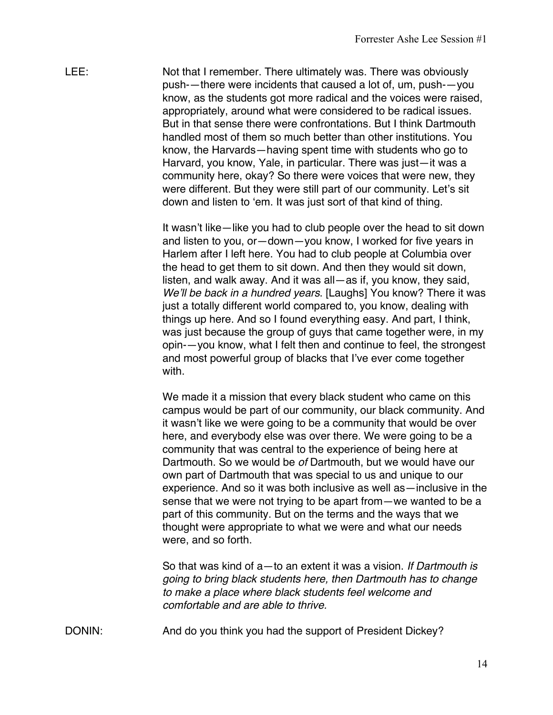LEE: Not that I remember. There ultimately was. There was obviously push-—there were incidents that caused a lot of, um, push-—you know, as the students got more radical and the voices were raised, appropriately, around what were considered to be radical issues. But in that sense there were confrontations. But I think Dartmouth handled most of them so much better than other institutions. You know, the Harvards—having spent time with students who go to Harvard, you know, Yale, in particular. There was just—it was a community here, okay? So there were voices that were new, they were different. But they were still part of our community. Let's sit down and listen to 'em. It was just sort of that kind of thing.

> It wasn't like—like you had to club people over the head to sit down and listen to you, or—down—you know, I worked for five years in Harlem after I left here. You had to club people at Columbia over the head to get them to sit down. And then they would sit down, listen, and walk away. And it was all—as if, you know, they said, *We'll be back in a hundred years*. [Laughs] You know? There it was just a totally different world compared to, you know, dealing with things up here. And so I found everything easy. And part, I think, was just because the group of guys that came together were, in my opin-—you know, what I felt then and continue to feel, the strongest and most powerful group of blacks that I've ever come together with.

> We made it a mission that every black student who came on this campus would be part of our community, our black community. And it wasn't like we were going to be a community that would be over here, and everybody else was over there. We were going to be a community that was central to the experience of being here at Dartmouth. So we would be *of* Dartmouth, but we would have our own part of Dartmouth that was special to us and unique to our experience. And so it was both inclusive as well as—inclusive in the sense that we were not trying to be apart from—we wanted to be a part of this community. But on the terms and the ways that we thought were appropriate to what we were and what our needs were, and so forth.

So that was kind of a—to an extent it was a vision. *If Dartmouth is going to bring black students here, then Dartmouth has to change to make a place where black students feel welcome and comfortable and are able to thrive.* 

DONIN: And do you think you had the support of President Dickey?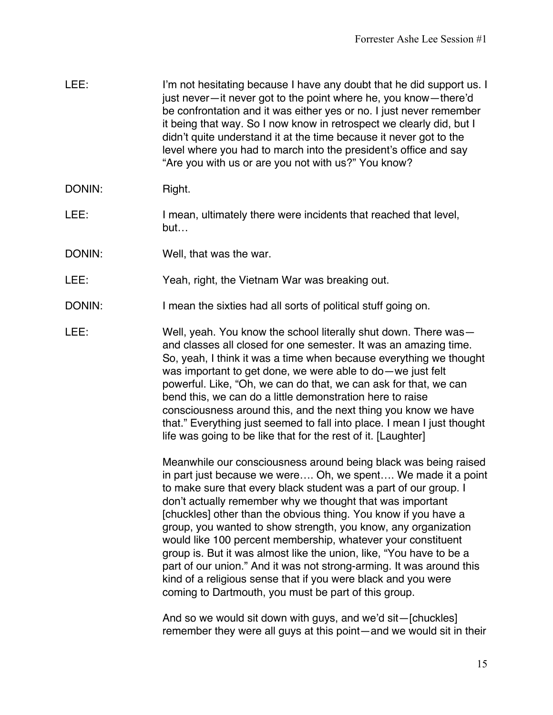| LEE:   | I'm not hesitating because I have any doubt that he did support us. I<br>just never-it never got to the point where he, you know-there'd<br>be confrontation and it was either yes or no. I just never remember<br>it being that way. So I now know in retrospect we clearly did, but I<br>didn't quite understand it at the time because it never got to the<br>level where you had to march into the president's office and say<br>"Are you with us or are you not with us?" You know? |
|--------|------------------------------------------------------------------------------------------------------------------------------------------------------------------------------------------------------------------------------------------------------------------------------------------------------------------------------------------------------------------------------------------------------------------------------------------------------------------------------------------|
| DONIN: | Right.                                                                                                                                                                                                                                                                                                                                                                                                                                                                                   |

- LEE: I mean, ultimately there were incidents that reached that level, but…
- DONIN: Well, that was the war.
- LEE: Yeah, right, the Vietnam War was breaking out.
- DONIN: I mean the sixties had all sorts of political stuff going on.
- LEE: Well, yeah. You know the school literally shut down. There was and classes all closed for one semester. It was an amazing time. So, yeah, I think it was a time when because everything we thought was important to get done, we were able to do—we just felt powerful. Like, "Oh, we can do that, we can ask for that, we can bend this, we can do a little demonstration here to raise consciousness around this, and the next thing you know we have that." Everything just seemed to fall into place. I mean I just thought life was going to be like that for the rest of it. [Laughter]

Meanwhile our consciousness around being black was being raised in part just because we were…. Oh, we spent…. We made it a point to make sure that every black student was a part of our group. I don't actually remember why we thought that was important [chuckles] other than the obvious thing. You know if you have a group, you wanted to show strength, you know, any organization would like 100 percent membership, whatever your constituent group is. But it was almost like the union, like, "You have to be a part of our union." And it was not strong-arming. It was around this kind of a religious sense that if you were black and you were coming to Dartmouth, you must be part of this group.

And so we would sit down with guys, and we'd sit—[chuckles] remember they were all guys at this point—and we would sit in their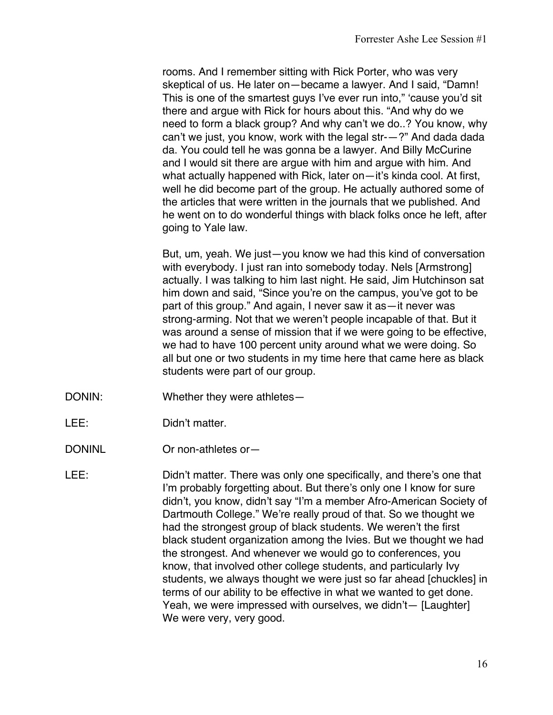rooms. And I remember sitting with Rick Porter, who was very skeptical of us. He later on—became a lawyer. And I said, "Damn! This is one of the smartest guys I've ever run into," 'cause you'd sit there and argue with Rick for hours about this. "And why do we need to form a black group? And why can't we do..? You know, why can't we just, you know, work with the legal str-—?" And dada dada da. You could tell he was gonna be a lawyer. And Billy McCurine and I would sit there are argue with him and argue with him. And what actually happened with Rick, later on—it's kinda cool. At first, well he did become part of the group. He actually authored some of the articles that were written in the journals that we published. And he went on to do wonderful things with black folks once he left, after going to Yale law.

But, um, yeah. We just—you know we had this kind of conversation with everybody. I just ran into somebody today. Nels [Armstrong] actually. I was talking to him last night. He said, Jim Hutchinson sat him down and said, "Since you're on the campus, you've got to be part of this group." And again, I never saw it as—it never was strong-arming. Not that we weren't people incapable of that. But it was around a sense of mission that if we were going to be effective, we had to have 100 percent unity around what we were doing. So all but one or two students in my time here that came here as black students were part of our group.

- DONIN: Whether they were athletes—
- LEE: Didn't matter.
- DONINL Or non-athletes or-

LEE: Didn't matter. There was only one specifically, and there's one that I'm probably forgetting about. But there's only one I know for sure didn't, you know, didn't say "I'm a member Afro-American Society of Dartmouth College." We're really proud of that. So we thought we had the strongest group of black students. We weren't the first black student organization among the Ivies. But we thought we had the strongest. And whenever we would go to conferences, you know, that involved other college students, and particularly Ivy students, we always thought we were just so far ahead [chuckles] in terms of our ability to be effective in what we wanted to get done. Yeah, we were impressed with ourselves, we didn't— [Laughter] We were very, very good.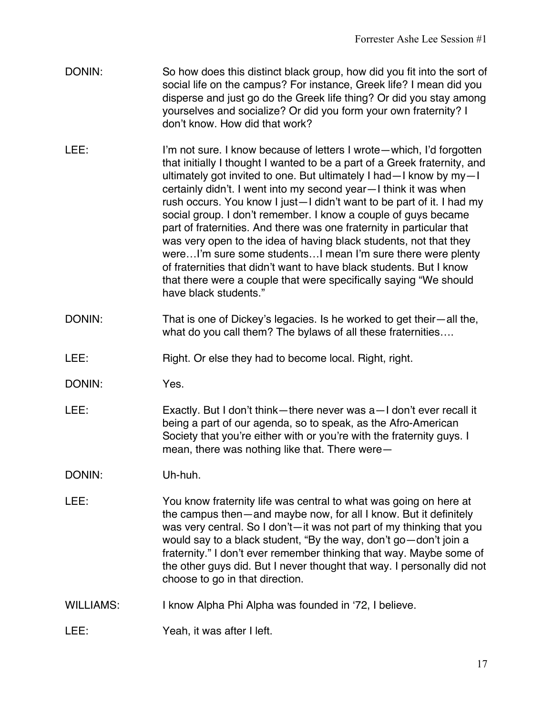- DONIN: So how does this distinct black group, how did you fit into the sort of social life on the campus? For instance, Greek life? I mean did you disperse and just go do the Greek life thing? Or did you stay among yourselves and socialize? Or did you form your own fraternity? I don't know. How did that work?
- LEE: I'm not sure. I know because of letters I wrote—which, I'd forgotten that initially I thought I wanted to be a part of a Greek fraternity, and ultimately got invited to one. But ultimately I had—I know by my—I certainly didn't. I went into my second year—I think it was when rush occurs. You know I just—I didn't want to be part of it. I had my social group. I don't remember. I know a couple of guys became part of fraternities. And there was one fraternity in particular that was very open to the idea of having black students, not that they were…I'm sure some students…I mean I'm sure there were plenty of fraternities that didn't want to have black students. But I know that there were a couple that were specifically saying "We should have black students."
- DONIN: That is one of Dickey's legacies. Is he worked to get their—all the, what do you call them? The bylaws of all these fraternities….
- LEE: Right. Or else they had to become local. Right, right.
- DONIN: Yes.
- LEE: Exactly. But I don't think—there never was a—I don't ever recall it being a part of our agenda, so to speak, as the Afro-American Society that you're either with or you're with the fraternity guys. I mean, there was nothing like that. There were—

DONIN: Uh-huh.

- LEE: You know fraternity life was central to what was going on here at the campus then—and maybe now, for all I know. But it definitely was very central. So I don't—it was not part of my thinking that you would say to a black student, "By the way, don't go—don't join a fraternity." I don't ever remember thinking that way. Maybe some of the other guys did. But I never thought that way. I personally did not choose to go in that direction.
- WILLIAMS: I know Alpha Phi Alpha was founded in '72, I believe.
- LEE: Yeah, it was after I left.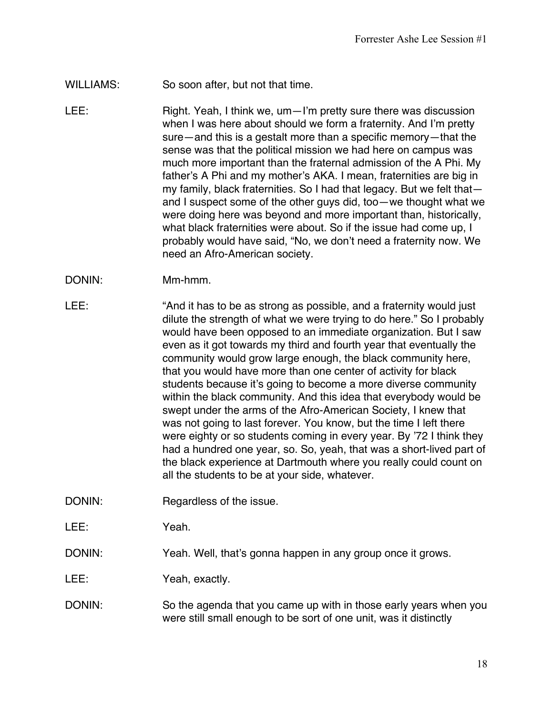- WILLIAMS: So soon after, but not that time.
- LEE: Right. Yeah, I think we, um—I'm pretty sure there was discussion when I was here about should we form a fraternity. And I'm pretty sure—and this is a gestalt more than a specific memory—that the sense was that the political mission we had here on campus was much more important than the fraternal admission of the A Phi. My father's A Phi and my mother's AKA. I mean, fraternities are big in my family, black fraternities. So I had that legacy. But we felt that and I suspect some of the other guys did, too—we thought what we were doing here was beyond and more important than, historically, what black fraternities were about. So if the issue had come up, I probably would have said, "No, we don't need a fraternity now. We need an Afro-American society.
- DONIN: Mm-hmm.
- LEE: "And it has to be as strong as possible, and a fraternity would just dilute the strength of what we were trying to do here." So I probably would have been opposed to an immediate organization. But I saw even as it got towards my third and fourth year that eventually the community would grow large enough, the black community here, that you would have more than one center of activity for black students because it's going to become a more diverse community within the black community. And this idea that everybody would be swept under the arms of the Afro-American Society, I knew that was not going to last forever. You know, but the time I left there were eighty or so students coming in every year. By '72 I think they had a hundred one year, so. So, yeah, that was a short-lived part of the black experience at Dartmouth where you really could count on all the students to be at your side, whatever.
- DONIN: Regardless of the issue.

LEE: Yeah.

DONIN: Yeah. Well, that's gonna happen in any group once it grows.

LEE: Yeah, exactly.

DONIN: So the agenda that you came up with in those early years when you were still small enough to be sort of one unit, was it distinctly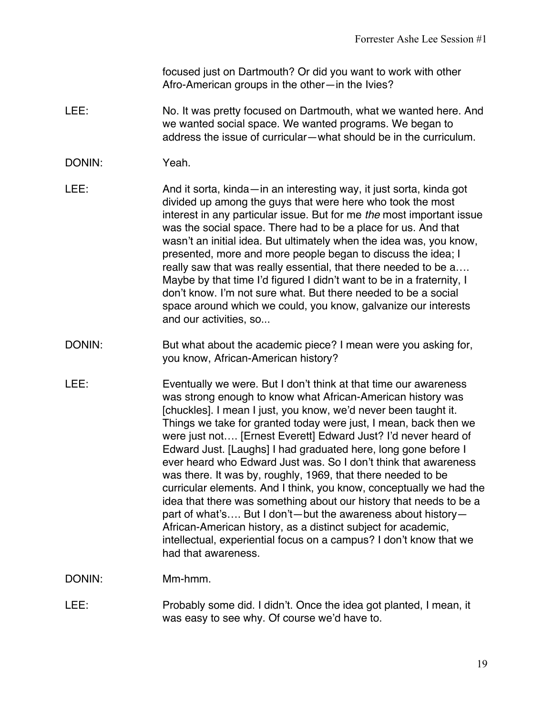focused just on Dartmouth? Or did you want to work with other Afro-American groups in the other—in the Ivies?

LEE: No. It was pretty focused on Dartmouth, what we wanted here. And we wanted social space. We wanted programs. We began to address the issue of curricular—what should be in the curriculum.

## DONIN: Yeah.

- LEE: And it sorta, kinda—in an interesting way, it just sorta, kinda got divided up among the guys that were here who took the most interest in any particular issue. But for me *the* most important issue was the social space. There had to be a place for us. And that wasn't an initial idea. But ultimately when the idea was, you know, presented, more and more people began to discuss the idea; I really saw that was really essential, that there needed to be a…. Maybe by that time I'd figured I didn't want to be in a fraternity, I don't know. I'm not sure what. But there needed to be a social space around which we could, you know, galvanize our interests and our activities, so...
- DONIN: But what about the academic piece? I mean were you asking for, you know, African-American history?
- LEE: Eventually we were. But I don't think at that time our awareness was strong enough to know what African-American history was [chuckles]. I mean I just, you know, we'd never been taught it. Things we take for granted today were just, I mean, back then we were just not…. [Ernest Everett] Edward Just? I'd never heard of Edward Just. [Laughs] I had graduated here, long gone before I ever heard who Edward Just was. So I don't think that awareness was there. It was by, roughly, 1969, that there needed to be curricular elements. And I think, you know, conceptually we had the idea that there was something about our history that needs to be a part of what's…. But I don't—but the awareness about history— African-American history, as a distinct subject for academic, intellectual, experiential focus on a campus? I don't know that we had that awareness.

DONIN: Mm-hmm.

LEE: Probably some did. I didn't. Once the idea got planted, I mean, it was easy to see why. Of course we'd have to.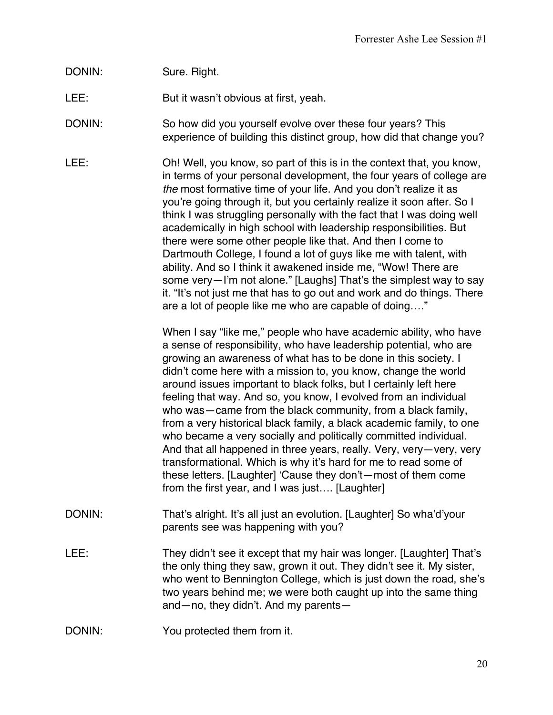# DONIN: Sure. Right.

LEE: But it wasn't obvious at first, yeah.

DONIN: So how did you yourself evolve over these four years? This experience of building this distinct group, how did that change you?

LEE: Oh! Well, you know, so part of this is in the context that, you know, in terms of your personal development, the four years of college are *the* most formative time of your life. And you don't realize it as you're going through it, but you certainly realize it soon after. So I think I was struggling personally with the fact that I was doing well academically in high school with leadership responsibilities. But there were some other people like that. And then I come to Dartmouth College, I found a lot of guys like me with talent, with ability. And so I think it awakened inside me, "Wow! There are some very—I'm not alone." [Laughs] That's the simplest way to say it. "It's not just me that has to go out and work and do things. There are a lot of people like me who are capable of doing…."

> When I say "like me," people who have academic ability, who have a sense of responsibility, who have leadership potential, who are growing an awareness of what has to be done in this society. I didn't come here with a mission to, you know, change the world around issues important to black folks, but I certainly left here feeling that way. And so, you know, I evolved from an individual who was—came from the black community, from a black family, from a very historical black family, a black academic family, to one who became a very socially and politically committed individual. And that all happened in three years, really. Very, very—very, very transformational. Which is why it's hard for me to read some of these letters. [Laughter] 'Cause they don't—most of them come from the first year, and I was just…. [Laughter]

- DONIN: That's alright. It's all just an evolution. [Laughter] So wha'd'your parents see was happening with you?
- LEE: They didn't see it except that my hair was longer. [Laughter] That's the only thing they saw, grown it out. They didn't see it. My sister, who went to Bennington College, which is just down the road, she's two years behind me; we were both caught up into the same thing and—no, they didn't. And my parents—
- DONIN: You protected them from it.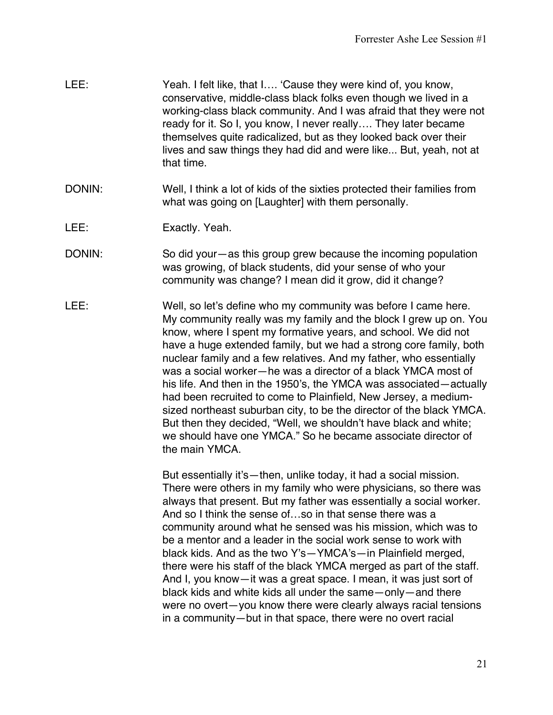| LEE: | Yeah. I felt like, that I 'Cause they were kind of, you know,      |
|------|--------------------------------------------------------------------|
|      | conservative, middle-class black folks even though we lived in a   |
|      | working-class black community. And I was afraid that they were not |
|      | ready for it. So I, you know, I never really They later became     |
|      | themselves quite radicalized, but as they looked back over their   |
|      | lives and saw things they had did and were like But, yeah, not at  |
|      | that time.                                                         |

- DONIN: Well, I think a lot of kids of the sixties protected their families from what was going on [Laughter] with them personally.
- LEE: Exactly. Yeah.
- DONIN: So did your—as this group grew because the incoming population was growing, of black students, did your sense of who your community was change? I mean did it grow, did it change?
- LEE: Well, so let's define who my community was before I came here. My community really was my family and the block I grew up on. You know, where I spent my formative years, and school. We did not have a huge extended family, but we had a strong core family, both nuclear family and a few relatives. And my father, who essentially was a social worker—he was a director of a black YMCA most of his life. And then in the 1950's, the YMCA was associated—actually had been recruited to come to Plainfield, New Jersey, a mediumsized northeast suburban city, to be the director of the black YMCA. But then they decided, "Well, we shouldn't have black and white; we should have one YMCA." So he became associate director of the main YMCA.

But essentially it's—then, unlike today, it had a social mission. There were others in my family who were physicians, so there was always that present. But my father was essentially a social worker. And so I think the sense of…so in that sense there was a community around what he sensed was his mission, which was to be a mentor and a leader in the social work sense to work with black kids. And as the two Y's—YMCA's—in Plainfield merged, there were his staff of the black YMCA merged as part of the staff. And I, you know—it was a great space. I mean, it was just sort of black kids and white kids all under the same—only—and there were no overt—you know there were clearly always racial tensions in a community—but in that space, there were no overt racial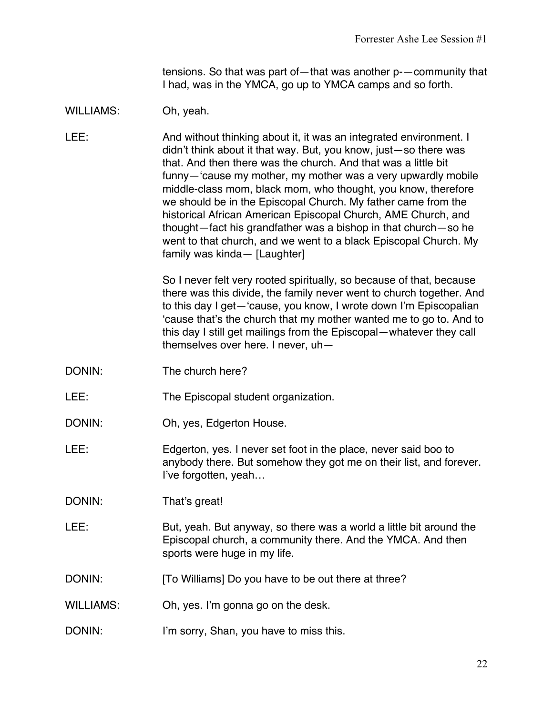tensions. So that was part of—that was another p-—community that I had, was in the YMCA, go up to YMCA camps and so forth.

## WILLIAMS: Oh, yeah.

LEE: And without thinking about it, it was an integrated environment. I didn't think about it that way. But, you know, just—so there was that. And then there was the church. And that was a little bit funny—'cause my mother, my mother was a very upwardly mobile middle-class mom, black mom, who thought, you know, therefore we should be in the Episcopal Church. My father came from the historical African American Episcopal Church, AME Church, and thought—fact his grandfather was a bishop in that church—so he went to that church, and we went to a black Episcopal Church. My family was kinda— [Laughter]

> So I never felt very rooted spiritually, so because of that, because there was this divide, the family never went to church together. And to this day I get—'cause, you know, I wrote down I'm Episcopalian 'cause that's the church that my mother wanted me to go to. And to this day I still get mailings from the Episcopal—whatever they call themselves over here. I never, uh—

- DONIN: The church here?
- LEE: The Episcopal student organization.
- DONIN: Oh, yes, Edgerton House.
- LEE: Edgerton, yes. I never set foot in the place, never said boo to anybody there. But somehow they got me on their list, and forever. I've forgotten, yeah…

DONIN: That's great!

- LEE: But, yeah. But anyway, so there was a world a little bit around the Episcopal church, a community there. And the YMCA. And then sports were huge in my life.
- DONIN: [To Williams] Do you have to be out there at three?
- WILLIAMS: Oh, yes. I'm gonna go on the desk.
- DONIN: I'm sorry, Shan, you have to miss this.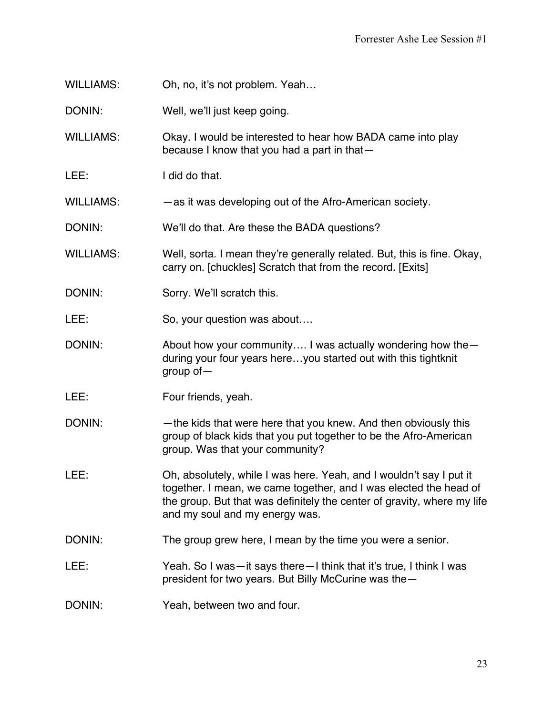WILLIAMS: Oh, no, it's not problem. Yeah...

DONIN: Well, we'll just keep going.

WILLIAMS: Okay. I would be interested to hear how BADA came into play because I know that you had a part in that—

LEE: I did do that.

WILLIAMS: — —as it was developing out of the Afro-American society.

DONIN: We'll do that. Are these the BADA questions?

WILLIAMS: Well, sorta. I mean they're generally related. But, this is fine. Okay, carry on. [chuckles] Scratch that from the record. [Exits]

- DONIN: Sorry. We'll scratch this.
- LEE: So, your question was about....
- DONIN: About how your community.... I was actually wondering how the during your four years here…you started out with this tightknit group of—
- LEE: Four friends, yeah.
- DONIN: —the kids that were here that you knew. And then obviously this group of black kids that you put together to be the Afro-American group. Was that your community?
- LEE: Oh, absolutely, while I was here. Yeah, and I wouldn't say I put it together. I mean, we came together, and I was elected the head of the group. But that was definitely the center of gravity, where my life and my soul and my energy was.
- DONIN: The group grew here, I mean by the time you were a senior.

#### LEE: Yeah. So I was—it says there—I think that it's true, I think I was president for two years. But Billy McCurine was the—

DONIN: Yeah, between two and four.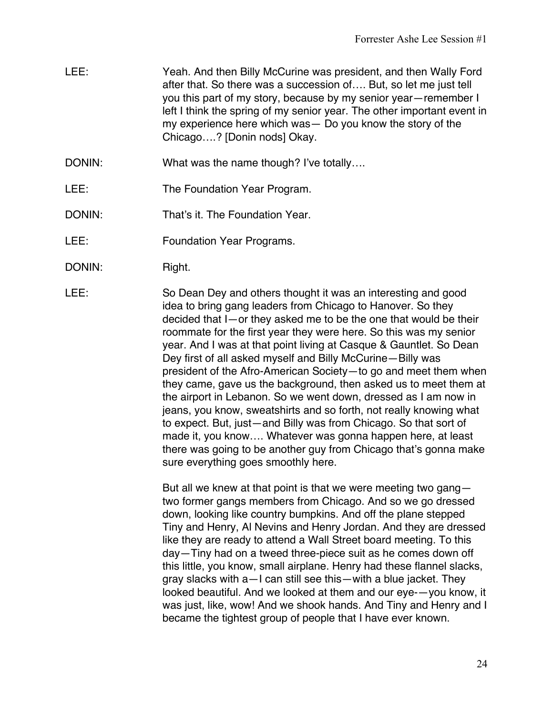- LEE: Yeah. And then Billy McCurine was president, and then Wally Ford after that. So there was a succession of…. But, so let me just tell you this part of my story, because by my senior year—remember I left I think the spring of my senior year. The other important event in my experience here which was— Do you know the story of the Chicago….? [Donin nods] Okay.
- DONIN: What was the name though? I've totally....
- LEE: The Foundation Year Program.
- DONIN: That's it. The Foundation Year.
- LEE: Foundation Year Programs.
- DONIN: Right.

LEE: So Dean Dey and others thought it was an interesting and good idea to bring gang leaders from Chicago to Hanover. So they decided that I—or they asked me to be the one that would be their roommate for the first year they were here. So this was my senior year. And I was at that point living at Casque & Gauntlet. So Dean Dey first of all asked myself and Billy McCurine—Billy was president of the Afro-American Society—to go and meet them when they came, gave us the background, then asked us to meet them at the airport in Lebanon. So we went down, dressed as I am now in jeans, you know, sweatshirts and so forth, not really knowing what to expect. But, just—and Billy was from Chicago. So that sort of made it, you know…. Whatever was gonna happen here, at least there was going to be another guy from Chicago that's gonna make sure everything goes smoothly here.

> But all we knew at that point is that we were meeting two gang two former gangs members from Chicago. And so we go dressed down, looking like country bumpkins. And off the plane stepped Tiny and Henry, Al Nevins and Henry Jordan. And they are dressed like they are ready to attend a Wall Street board meeting. To this day—Tiny had on a tweed three-piece suit as he comes down off this little, you know, small airplane. Henry had these flannel slacks, gray slacks with a—I can still see this—with a blue jacket. They looked beautiful. And we looked at them and our eye-—you know, it was just, like, wow! And we shook hands. And Tiny and Henry and I became the tightest group of people that I have ever known.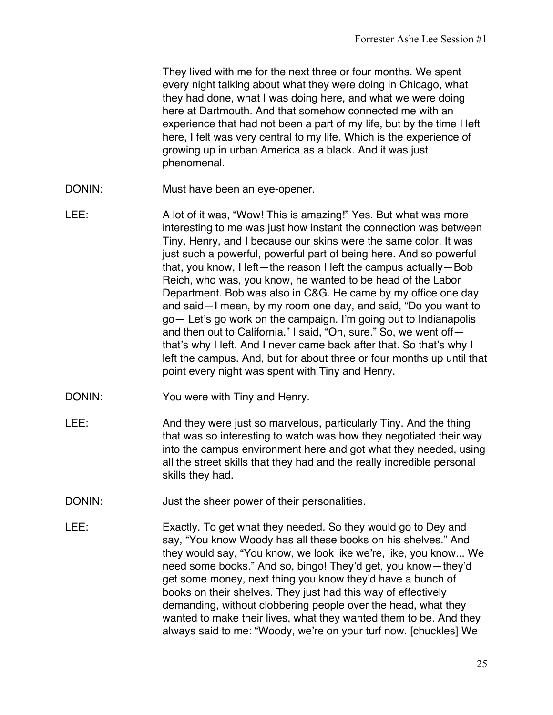They lived with me for the next three or four months. We spent every night talking about what they were doing in Chicago, what they had done, what I was doing here, and what we were doing here at Dartmouth. And that somehow connected me with an experience that had not been a part of my life, but by the time I left here, I felt was very central to my life. Which is the experience of growing up in urban America as a black. And it was just phenomenal.

- DONIN: Must have been an eye-opener.
- LEE: A lot of it was, "Wow! This is amazing!" Yes. But what was more interesting to me was just how instant the connection was between Tiny, Henry, and I because our skins were the same color. It was just such a powerful, powerful part of being here. And so powerful that, you know, I left—the reason I left the campus actually—Bob Reich, who was, you know, he wanted to be head of the Labor Department. Bob was also in C&G. He came by my office one day and said—I mean, by my room one day, and said, "Do you want to go— Let's go work on the campaign. I'm going out to Indianapolis and then out to California." I said, "Oh, sure." So, we went off that's why I left. And I never came back after that. So that's why I left the campus. And, but for about three or four months up until that point every night was spent with Tiny and Henry.
- DONIN: You were with Tiny and Henry.
- LEE: And they were just so marvelous, particularly Tiny. And the thing that was so interesting to watch was how they negotiated their way into the campus environment here and got what they needed, using all the street skills that they had and the really incredible personal skills they had.
- DONIN: Just the sheer power of their personalities.
- LEE: Exactly. To get what they needed. So they would go to Dey and say, "You know Woody has all these books on his shelves." And they would say, "You know, we look like we're, like, you know... We need some books." And so, bingo! They'd get, you know—they'd get some money, next thing you know they'd have a bunch of books on their shelves. They just had this way of effectively demanding, without clobbering people over the head, what they wanted to make their lives, what they wanted them to be. And they always said to me: "Woody, we're on your turf now. [chuckles] We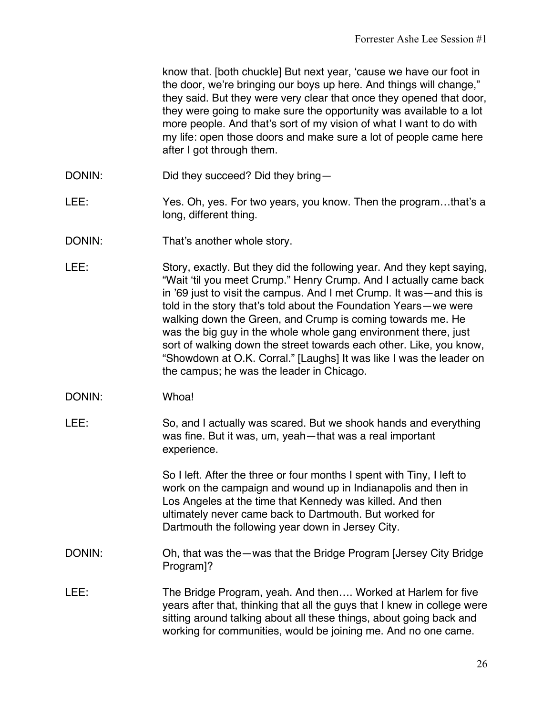know that. [both chuckle] But next year, 'cause we have our foot in the door, we're bringing our boys up here. And things will change," they said. But they were very clear that once they opened that door, they were going to make sure the opportunity was available to a lot more people. And that's sort of my vision of what I want to do with my life: open those doors and make sure a lot of people came here after I got through them.

- DONIN: Did they succeed? Did they bring—
- LEE: Yes. Oh, yes. For two years, you know. Then the program...that's a long, different thing.
- DONIN: That's another whole story.
- LEE: Story, exactly. But they did the following year. And they kept saying, "Wait 'til you meet Crump." Henry Crump. And I actually came back in '69 just to visit the campus. And I met Crump. It was—and this is told in the story that's told about the Foundation Years—we were walking down the Green, and Crump is coming towards me. He was the big guy in the whole whole gang environment there, just sort of walking down the street towards each other. Like, you know, "Showdown at O.K. Corral." [Laughs] It was like I was the leader on the campus; he was the leader in Chicago.
- DONIN: Whoa!
- LEE: So, and I actually was scared. But we shook hands and everything was fine. But it was, um, yeah—that was a real important experience.

So I left. After the three or four months I spent with Tiny, I left to work on the campaign and wound up in Indianapolis and then in Los Angeles at the time that Kennedy was killed. And then ultimately never came back to Dartmouth. But worked for Dartmouth the following year down in Jersey City.

- DONIN: Oh, that was the—was that the Bridge Program [Jersey City Bridge Program]?
- LEE: The Bridge Program, yeah. And then.... Worked at Harlem for five years after that, thinking that all the guys that I knew in college were sitting around talking about all these things, about going back and working for communities, would be joining me. And no one came.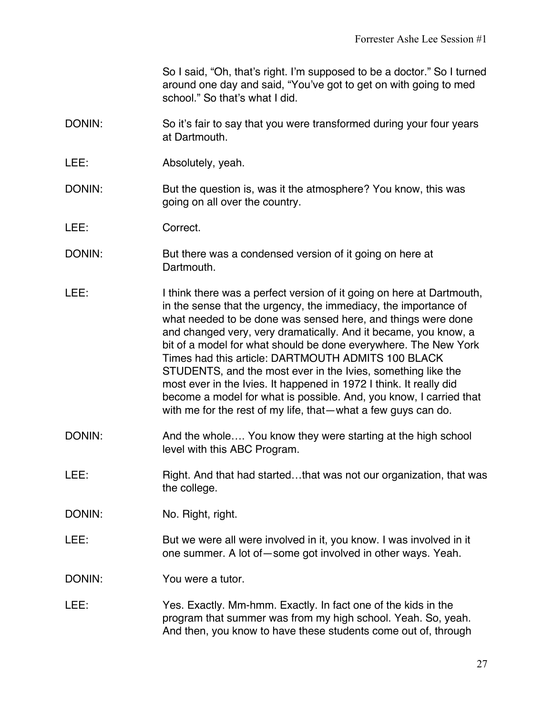So I said, "Oh, that's right. I'm supposed to be a doctor." So I turned around one day and said, "You've got to get on with going to med school." So that's what I did.

- DONIN: So it's fair to say that you were transformed during your four years at Dartmouth.
- LEE: Absolutely, yeah.
- DONIN: But the question is, was it the atmosphere? You know, this was going on all over the country.
- LEE: Correct.
- DONIN: But there was a condensed version of it going on here at Dartmouth.
- LEE: I think there was a perfect version of it going on here at Dartmouth, in the sense that the urgency, the immediacy, the importance of what needed to be done was sensed here, and things were done and changed very, very dramatically. And it became, you know, a bit of a model for what should be done everywhere. The New York Times had this article: DARTMOUTH ADMITS 100 BLACK STUDENTS, and the most ever in the Ivies, something like the most ever in the Ivies. It happened in 1972 I think. It really did become a model for what is possible. And, you know, I carried that with me for the rest of my life, that—what a few guys can do.
- DONIN: And the whole.... You know they were starting at the high school level with this ABC Program.
- LEE: Right. And that had started...that was not our organization, that was the college.
- DONIN: No. Right, right.
- LEE: But we were all were involved in it, you know. I was involved in it one summer. A lot of—some got involved in other ways. Yeah.
- DONIN: You were a tutor.
- LEE: Yes. Exactly. Mm-hmm. Exactly. In fact one of the kids in the program that summer was from my high school. Yeah. So, yeah. And then, you know to have these students come out of, through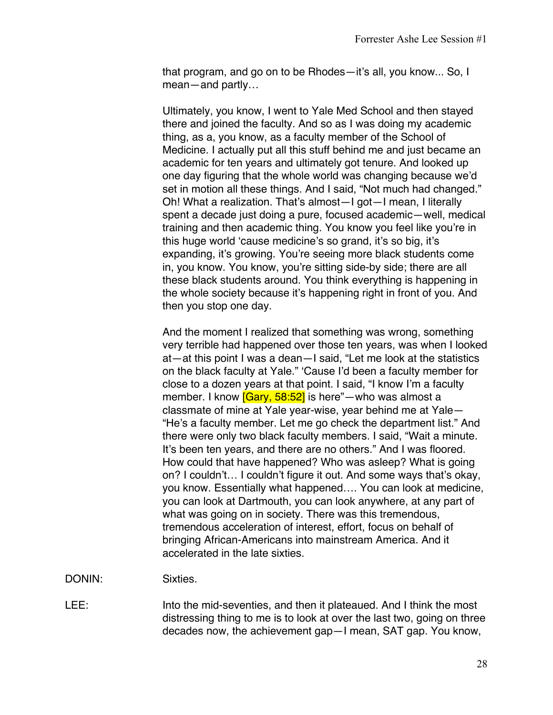that program, and go on to be Rhodes—it's all, you know... So, I mean—and partly…

Ultimately, you know, I went to Yale Med School and then stayed there and joined the faculty. And so as I was doing my academic thing, as a, you know, as a faculty member of the School of Medicine. I actually put all this stuff behind me and just became an academic for ten years and ultimately got tenure. And looked up one day figuring that the whole world was changing because we'd set in motion all these things. And I said, "Not much had changed." Oh! What a realization. That's almost—I got—I mean, I literally spent a decade just doing a pure, focused academic—well, medical training and then academic thing. You know you feel like you're in this huge world 'cause medicine's so grand, it's so big, it's expanding, it's growing. You're seeing more black students come in, you know. You know, you're sitting side-by side; there are all these black students around. You think everything is happening in the whole society because it's happening right in front of you. And then you stop one day.

And the moment I realized that something was wrong, something very terrible had happened over those ten years, was when I looked at—at this point I was a dean—I said, "Let me look at the statistics on the black faculty at Yale." 'Cause I'd been a faculty member for close to a dozen years at that point. I said, "I know I'm a faculty member. I know [Gary, 58:52] is here"—who was almost a classmate of mine at Yale year-wise, year behind me at Yale— "He's a faculty member. Let me go check the department list." And there were only two black faculty members. I said, "Wait a minute. It's been ten years, and there are no others." And I was floored. How could that have happened? Who was asleep? What is going on? I couldn't… I couldn't figure it out. And some ways that's okay, you know. Essentially what happened…. You can look at medicine, you can look at Dartmouth, you can look anywhere, at any part of what was going on in society. There was this tremendous, tremendous acceleration of interest, effort, focus on behalf of bringing African-Americans into mainstream America. And it accelerated in the late sixties.

DONIN: Sixties.

LEE: Into the mid-seventies, and then it plateaued. And I think the most distressing thing to me is to look at over the last two, going on three decades now, the achievement gap—I mean, SAT gap. You know,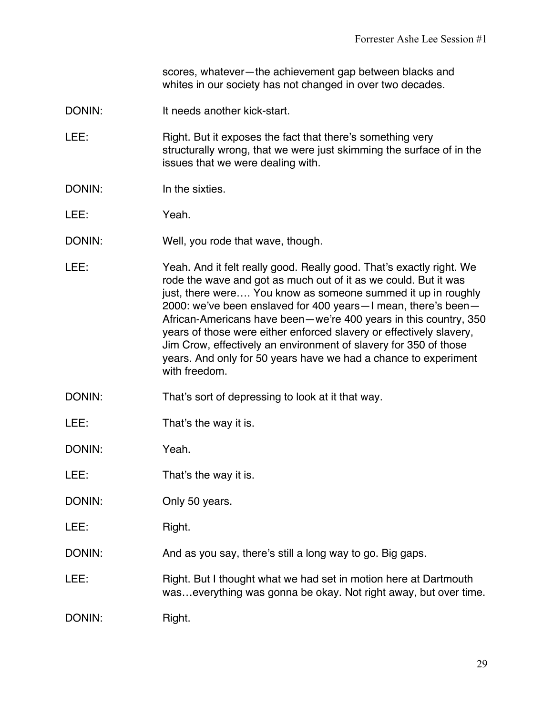scores, whatever—the achievement gap between blacks and whites in our society has not changed in over two decades.

- DONIN: It needs another kick-start.
- LEE: Right. But it exposes the fact that there's something very structurally wrong, that we were just skimming the surface of in the issues that we were dealing with.
- DONIN: In the sixties
- LEE: Yeah.
- DONIN: Well, you rode that wave, though.
- LEE: Yeah. And it felt really good. Really good. That's exactly right. We rode the wave and got as much out of it as we could. But it was just, there were…. You know as someone summed it up in roughly 2000: we've been enslaved for 400 years—I mean, there's been— African-Americans have been—we're 400 years in this country, 350 years of those were either enforced slavery or effectively slavery, Jim Crow, effectively an environment of slavery for 350 of those years. And only for 50 years have we had a chance to experiment with freedom.
- DONIN: That's sort of depressing to look at it that way.
- LEE: That's the way it is.
- DONIN: Yeah.
- LEE: That's the way it is.
- DONIN: Only 50 years.
- LEE: Right.
- DONIN: And as you say, there's still a long way to go. Big gaps.
- LEE: Right. But I thought what we had set in motion here at Dartmouth was…everything was gonna be okay. Not right away, but over time.
- DONIN: Right.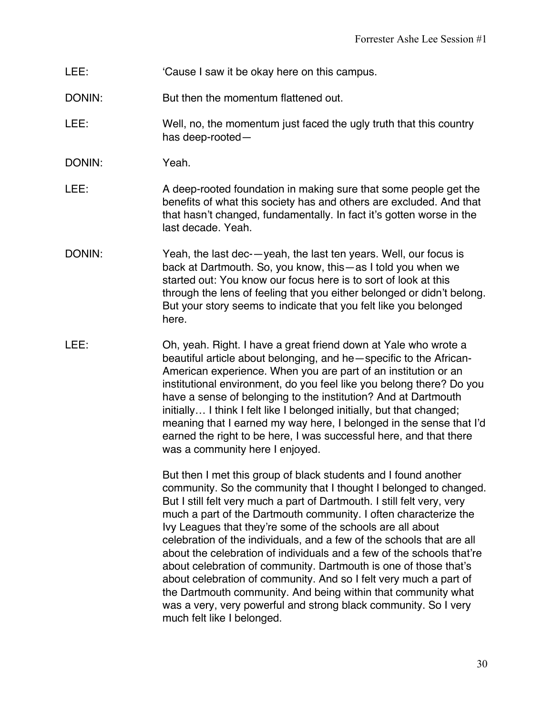- LEE: 'Cause I saw it be okay here on this campus.
- DONIN: But then the momentum flattened out.
- LEE: Well, no, the momentum just faced the ugly truth that this country has deep-rooted—
- DONIN: Yeah.
- LEE: A deep-rooted foundation in making sure that some people get the benefits of what this society has and others are excluded. And that that hasn't changed, fundamentally. In fact it's gotten worse in the last decade. Yeah.
- DONIN: Yeah, the last dec-—yeah, the last ten years. Well, our focus is back at Dartmouth. So, you know, this—as I told you when we started out: You know our focus here is to sort of look at this through the lens of feeling that you either belonged or didn't belong. But your story seems to indicate that you felt like you belonged here.
- LEE: Oh, yeah. Right. I have a great friend down at Yale who wrote a beautiful article about belonging, and he—specific to the African-American experience. When you are part of an institution or an institutional environment, do you feel like you belong there? Do you have a sense of belonging to the institution? And at Dartmouth initially… I think I felt like I belonged initially, but that changed; meaning that I earned my way here, I belonged in the sense that I'd earned the right to be here, I was successful here, and that there was a community here I enjoyed.

But then I met this group of black students and I found another community. So the community that I thought I belonged to changed. But I still felt very much a part of Dartmouth. I still felt very, very much a part of the Dartmouth community. I often characterize the Ivy Leagues that they're some of the schools are all about celebration of the individuals, and a few of the schools that are all about the celebration of individuals and a few of the schools that're about celebration of community. Dartmouth is one of those that's about celebration of community. And so I felt very much a part of the Dartmouth community. And being within that community what was a very, very powerful and strong black community. So I very much felt like I belonged.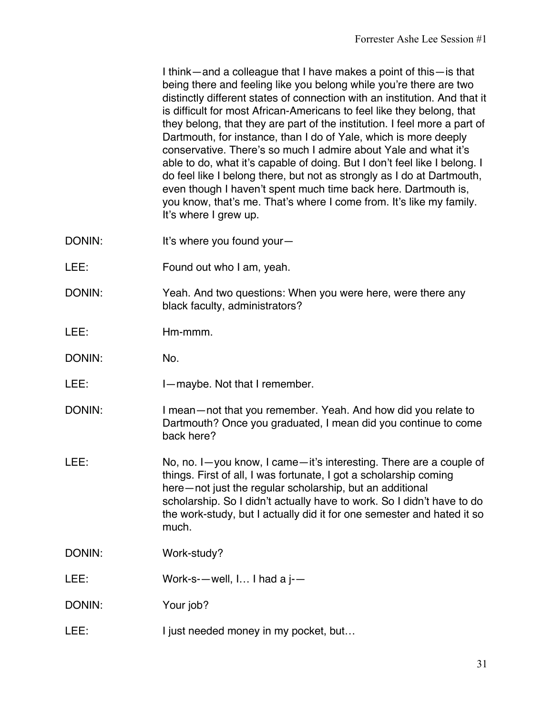I think—and a colleague that I have makes a point of this—is that being there and feeling like you belong while you're there are two distinctly different states of connection with an institution. And that it is difficult for most African-Americans to feel like they belong, that they belong, that they are part of the institution. I feel more a part of Dartmouth, for instance, than I do of Yale, which is more deeply conservative. There's so much I admire about Yale and what it's able to do, what it's capable of doing. But I don't feel like I belong. I do feel like I belong there, but not as strongly as I do at Dartmouth, even though I haven't spent much time back here. Dartmouth is, you know, that's me. That's where I come from. It's like my family. It's where I grew up.

- DONIN: It's where you found your-
- LEE: Found out who I am, yeah.
- DONIN: Yeah. And two questions: When you were here, were there any black faculty, administrators?

LEE: Hm-mmm.

- DONIN: No.
- LEE: I—maybe. Not that I remember.
- DONIN: I mean—not that you remember. Yeah. And how did you relate to Dartmouth? Once you graduated, I mean did you continue to come back here?
- LEE: No, no. I—you know, I came—it's interesting. There are a couple of things. First of all, I was fortunate, I got a scholarship coming here—not just the regular scholarship, but an additional scholarship. So I didn't actually have to work. So I didn't have to do the work-study, but I actually did it for one semester and hated it so much.
- DONIN: Work-study?
- LEE: Work-s--well, I... I had a j--
- DONIN: Your job?
- LEE: I just needed money in my pocket, but...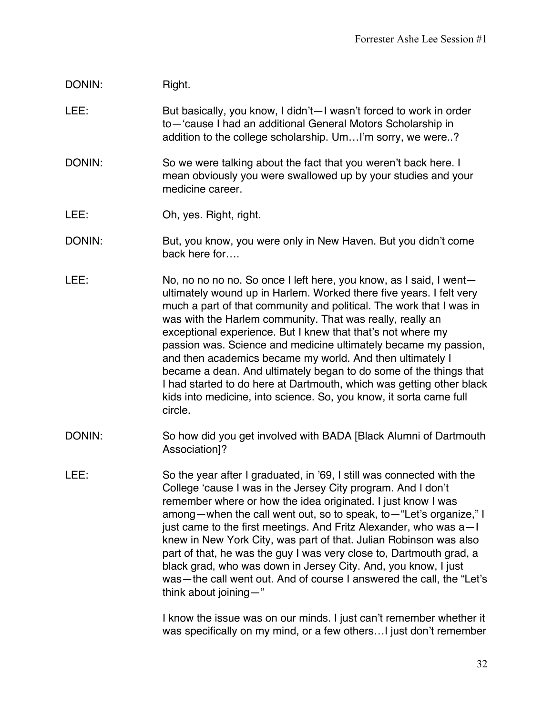## DONIN: Right.

LEE: But basically, you know, I didn't—I wasn't forced to work in order to—'cause I had an additional General Motors Scholarship in addition to the college scholarship. Um…I'm sorry, we were..?

- DONIN: So we were talking about the fact that you weren't back here. I mean obviously you were swallowed up by your studies and your medicine career
- LEE: Oh, yes. Right, right.
- DONIN: But, you know, you were only in New Haven. But you didn't come back here for….
- LEE: No, no no no no. So once I left here, you know, as I said, I wentultimately wound up in Harlem. Worked there five years. I felt very much a part of that community and political. The work that I was in was with the Harlem community. That was really, really an exceptional experience. But I knew that that's not where my passion was. Science and medicine ultimately became my passion, and then academics became my world. And then ultimately I became a dean. And ultimately began to do some of the things that I had started to do here at Dartmouth, which was getting other black kids into medicine, into science. So, you know, it sorta came full circle.
- DONIN: So how did you get involved with BADA [Black Alumni of Dartmouth Association]?
- LEE: So the year after I graduated, in '69, I still was connected with the College 'cause I was in the Jersey City program. And I don't remember where or how the idea originated. I just know I was among—when the call went out, so to speak, to—"Let's organize," I just came to the first meetings. And Fritz Alexander, who was a—I knew in New York City, was part of that. Julian Robinson was also part of that, he was the guy I was very close to, Dartmouth grad, a black grad, who was down in Jersey City. And, you know, I just was—the call went out. And of course I answered the call, the "Let's think about joining—"

I know the issue was on our minds. I just can't remember whether it was specifically on my mind, or a few others…I just don't remember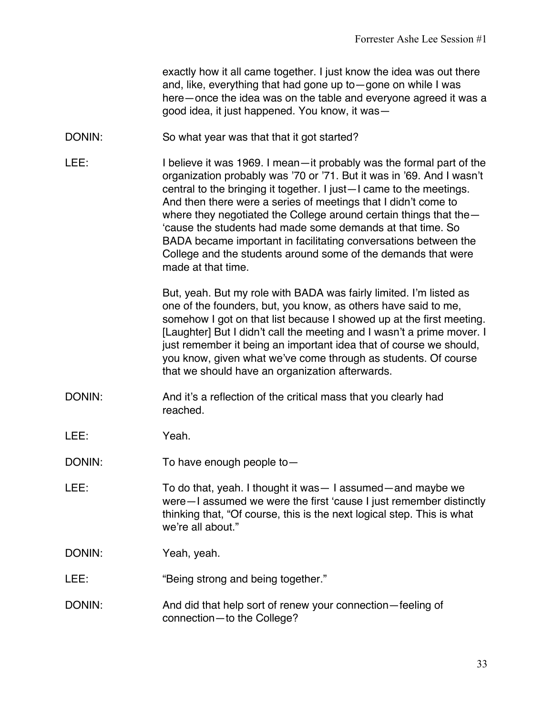exactly how it all came together. I just know the idea was out there and, like, everything that had gone up to—gone on while I was here—once the idea was on the table and everyone agreed it was a good idea, it just happened. You know, it was—

- DONIN: So what year was that that it got started?
- LEE: I believe it was 1969. I mean—it probably was the formal part of the organization probably was '70 or '71. But it was in '69. And I wasn't central to the bringing it together. I just—I came to the meetings. And then there were a series of meetings that I didn't come to where they negotiated the College around certain things that the— 'cause the students had made some demands at that time. So BADA became important in facilitating conversations between the College and the students around some of the demands that were made at that time.

But, yeah. But my role with BADA was fairly limited. I'm listed as one of the founders, but, you know, as others have said to me, somehow I got on that list because I showed up at the first meeting. [Laughter] But I didn't call the meeting and I wasn't a prime mover. I just remember it being an important idea that of course we should, you know, given what we've come through as students. Of course that we should have an organization afterwards.

- DONIN: And it's a reflection of the critical mass that you clearly had reached.
- LEE: Yeah.
- DONIN: To have enough people to -
- LEE: To do that, yeah. I thought it was I assumed—and maybe we were—I assumed we were the first 'cause I just remember distinctly thinking that, "Of course, this is the next logical step. This is what we're all about."
- DONIN: Yeah, yeah.
- LEE: "Being strong and being together."
- DONIN: And did that help sort of renew your connection—feeling of connection—to the College?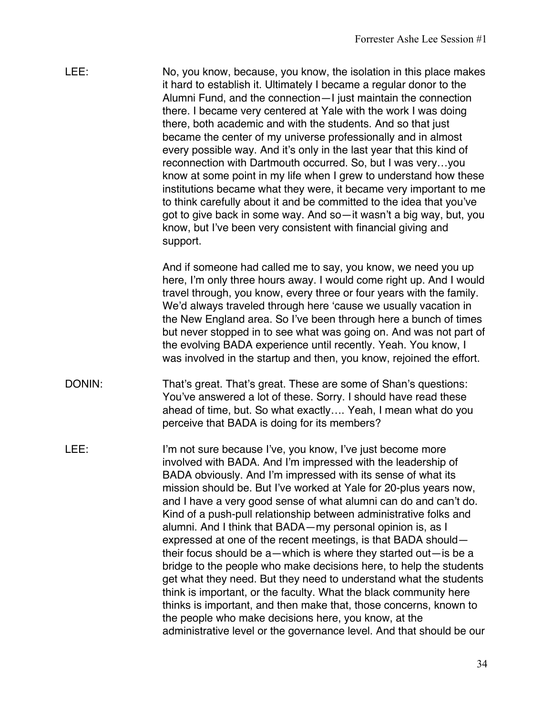LEE: No, you know, because, you know, the isolation in this place makes it hard to establish it. Ultimately I became a regular donor to the Alumni Fund, and the connection—I just maintain the connection there. I became very centered at Yale with the work I was doing there, both academic and with the students. And so that just became the center of my universe professionally and in almost every possible way. And it's only in the last year that this kind of reconnection with Dartmouth occurred. So, but I was very…you know at some point in my life when I grew to understand how these institutions became what they were, it became very important to me to think carefully about it and be committed to the idea that you've got to give back in some way. And so—it wasn't a big way, but, you know, but I've been very consistent with financial giving and support.

> And if someone had called me to say, you know, we need you up here, I'm only three hours away. I would come right up. And I would travel through, you know, every three or four years with the family. We'd always traveled through here 'cause we usually vacation in the New England area. So I've been through here a bunch of times but never stopped in to see what was going on. And was not part of the evolving BADA experience until recently. Yeah. You know, I was involved in the startup and then, you know, rejoined the effort.

- DONIN: That's great. That's great. These are some of Shan's questions: You've answered a lot of these. Sorry. I should have read these ahead of time, but. So what exactly…. Yeah, I mean what do you perceive that BADA is doing for its members?
- LEE: I'm not sure because I've, you know, I've just become more involved with BADA. And I'm impressed with the leadership of BADA obviously. And I'm impressed with its sense of what its mission should be. But I've worked at Yale for 20-plus years now, and I have a very good sense of what alumni can do and can't do. Kind of a push-pull relationship between administrative folks and alumni. And I think that BADA—my personal opinion is, as I expressed at one of the recent meetings, is that BADA should their focus should be a—which is where they started out—is be a bridge to the people who make decisions here, to help the students get what they need. But they need to understand what the students think is important, or the faculty. What the black community here thinks is important, and then make that, those concerns, known to the people who make decisions here, you know, at the administrative level or the governance level. And that should be our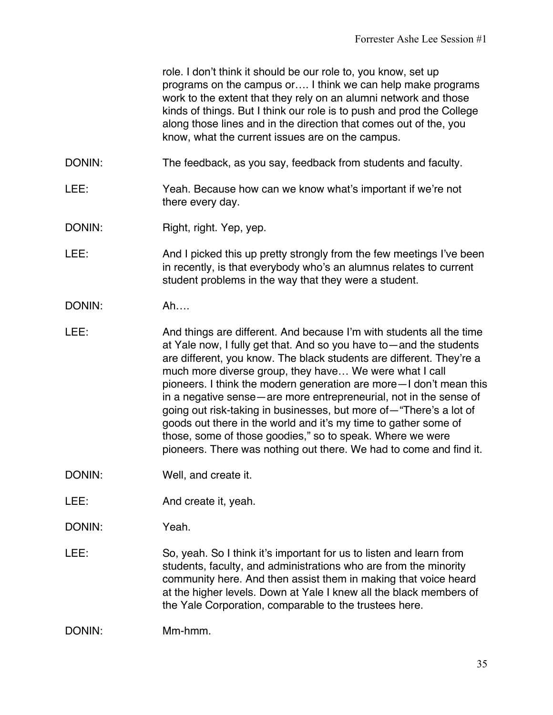role. I don't think it should be our role to, you know, set up programs on the campus or…. I think we can help make programs work to the extent that they rely on an alumni network and those kinds of things. But I think our role is to push and prod the College along those lines and in the direction that comes out of the, you know, what the current issues are on the campus.

- DONIN: The feedback, as you say, feedback from students and faculty.
- LEE: Yeah. Because how can we know what's important if we're not there every day.
- DONIN: Right, right. Yep, yep.
- LEE: And I picked this up pretty strongly from the few meetings I've been in recently, is that everybody who's an alumnus relates to current student problems in the way that they were a student.
- DONIN: Ah….
- LEE: And things are different. And because I'm with students all the time at Yale now, I fully get that. And so you have to—and the students are different, you know. The black students are different. They're a much more diverse group, they have… We were what I call pioneers. I think the modern generation are more—I don't mean this in a negative sense—are more entrepreneurial, not in the sense of going out risk-taking in businesses, but more of—"There's a lot of goods out there in the world and it's my time to gather some of those, some of those goodies," so to speak. Where we were pioneers. There was nothing out there. We had to come and find it.
- DONIN: Well, and create it.
- LEE: And create it, yeah.

DONIN: Yeah.

LEE: So, yeah. So I think it's important for us to listen and learn from students, faculty, and administrations who are from the minority community here. And then assist them in making that voice heard at the higher levels. Down at Yale I knew all the black members of the Yale Corporation, comparable to the trustees here.

DONIN: Mm-hmm.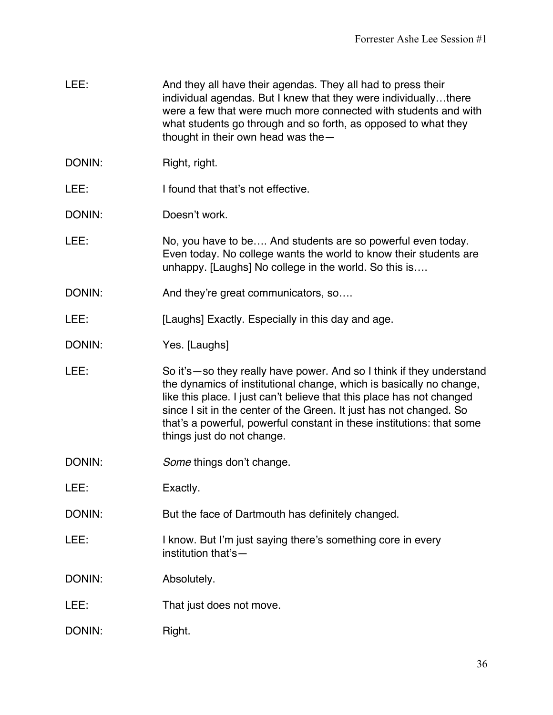- LEE: And they all have their agendas. They all had to press their individual agendas. But I knew that they were individually…there were a few that were much more connected with students and with what students go through and so forth, as opposed to what they thought in their own head was the—
- DONIN: Right, right.
- LEE: I found that that's not effective.

DONIN: Doesn't work.

- LEE: No, you have to be.... And students are so powerful even today. Even today. No college wants the world to know their students are unhappy. [Laughs] No college in the world. So this is….
- DONIN: And they're great communicators, so....
- LEE: [Laughs] Exactly. Especially in this day and age.
- DONIN: Yes. [Laughs]
- LEE: So it's so they really have power. And so I think if they understand the dynamics of institutional change, which is basically no change, like this place. I just can't believe that this place has not changed since I sit in the center of the Green. It just has not changed. So that's a powerful, powerful constant in these institutions: that some things just do not change.
- DONIN: *Some* things don't change.
- LEE: Exactly.
- DONIN: But the face of Dartmouth has definitely changed.
- LEE: I know. But I'm just saying there's something core in every institution that's—

DONIN: Absolutely.

- LEE: That just does not move.
- DONIN: Right.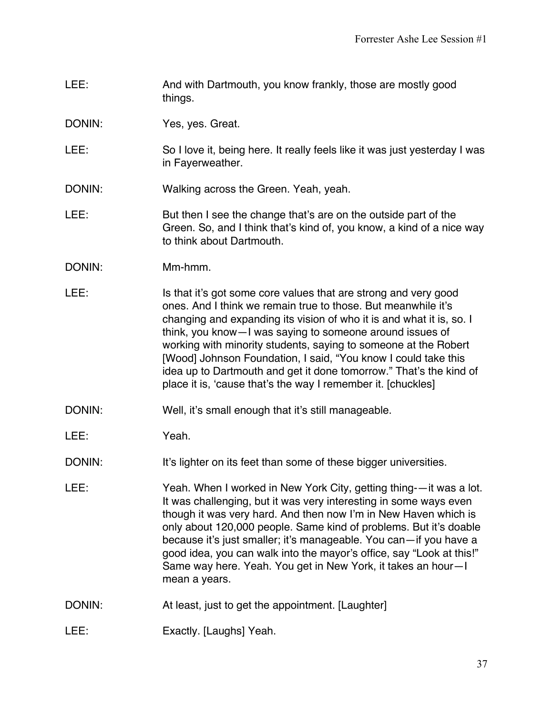- LEE: And with Dartmouth, you know frankly, those are mostly good things.
- DONIN: Yes, yes. Great.
- LEE: So I love it, being here. It really feels like it was just yesterday I was in Fayerweather.
- DONIN: Walking across the Green. Yeah, yeah.
- LEE: But then I see the change that's are on the outside part of the Green. So, and I think that's kind of, you know, a kind of a nice way to think about Dartmouth.
- DONIN: Mm-hmm.
- LEE: Is that it's got some core values that are strong and very good ones. And I think we remain true to those. But meanwhile it's changing and expanding its vision of who it is and what it is, so. I think, you know—I was saying to someone around issues of working with minority students, saying to someone at the Robert [Wood] Johnson Foundation, I said, "You know I could take this idea up to Dartmouth and get it done tomorrow." That's the kind of place it is, 'cause that's the way I remember it. [chuckles]
- DONIN: Well, it's small enough that it's still manageable.
- LEE: Yeah.
- DONIN: It's lighter on its feet than some of these bigger universities.
- LEE: Yeah. When I worked in New York City, getting thing-—it was a lot. It was challenging, but it was very interesting in some ways even though it was very hard. And then now I'm in New Haven which is only about 120,000 people. Same kind of problems. But it's doable because it's just smaller; it's manageable. You can—if you have a good idea, you can walk into the mayor's office, say "Look at this!" Same way here. Yeah. You get in New York, it takes an hour—I mean a years.
- DONIN: At least, just to get the appointment. [Laughter]
- LEE: Exactly. [Laughs] Yeah.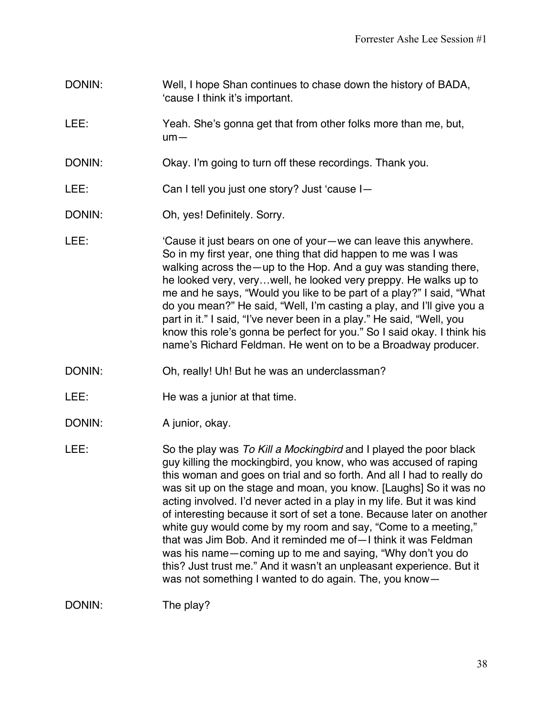- DONIN: Well, I hope Shan continues to chase down the history of BADA, 'cause I think it's important.
- LEE: Yeah. She's gonna get that from other folks more than me, but, um—
- DONIN: Okay. I'm going to turn off these recordings. Thank you.
- LEE: Can I tell you just one story? Just 'cause I—
- DONIN: Oh, yes! Definitely. Sorry.
- LEE:  $\blacksquare$  'Cause it just bears on one of your—we can leave this anywhere. So in my first year, one thing that did happen to me was I was walking across the—up to the Hop. And a guy was standing there, he looked very, very…well, he looked very preppy. He walks up to me and he says, "Would you like to be part of a play?" I said, "What do you mean?" He said, "Well, I'm casting a play, and I'll give you a part in it." I said, "I've never been in a play." He said, "Well, you know this role's gonna be perfect for you." So I said okay. I think his name's Richard Feldman. He went on to be a Broadway producer.
- DONIN: Oh, really! Uh! But he was an underclassman?
- LEE: He was a junior at that time.
- DONIN: A junior, okay.
- LEE: So the play was *To Kill a Mockingbird* and I played the poor black guy killing the mockingbird, you know, who was accused of raping this woman and goes on trial and so forth. And all I had to really do was sit up on the stage and moan, you know. [Laughs] So it was no acting involved. I'd never acted in a play in my life. But it was kind of interesting because it sort of set a tone. Because later on another white guy would come by my room and say, "Come to a meeting," that was Jim Bob. And it reminded me of—I think it was Feldman was his name—coming up to me and saying, "Why don't you do this? Just trust me." And it wasn't an unpleasant experience. But it was not something I wanted to do again. The, you know—

DONIN: The play?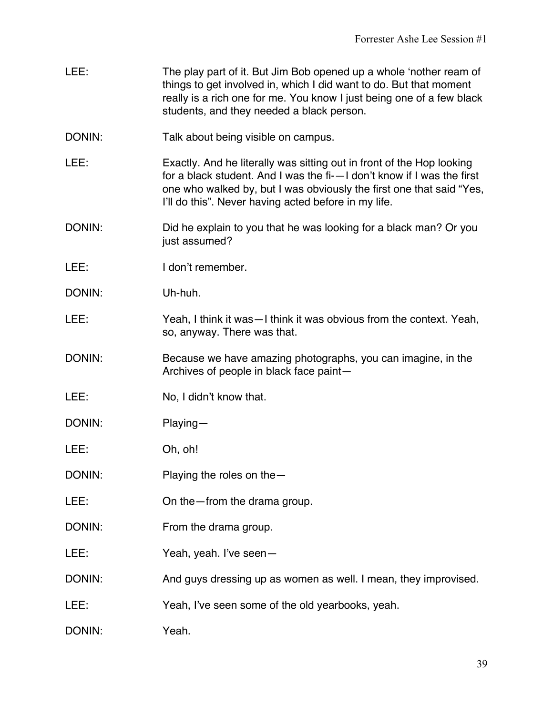- LEE: The play part of it. But Jim Bob opened up a whole 'nother ream of things to get involved in, which I did want to do. But that moment really is a rich one for me. You know I just being one of a few black students, and they needed a black person.
- DONIN: Talk about being visible on campus.
- LEE: Exactly. And he literally was sitting out in front of the Hop looking for a black student. And I was the fi-—I don't know if I was the first one who walked by, but I was obviously the first one that said "Yes, I'll do this". Never having acted before in my life.
- DONIN: DONIN: Did he explain to you that he was looking for a black man? Or you just assumed?
- LEE: I don't remember.
- DONIN: Uh-huh.
- LEE: Yeah, I think it was—I think it was obvious from the context. Yeah, so, anyway. There was that.
- DONIN: Because we have amazing photographs, you can imagine, in the Archives of people in black face paint—
- LEE: No, I didn't know that.
- DONIN: Playing—
- LEE: Oh, oh!
- DONIN: Playing the roles on the —
- LEE: On the from the drama group.
- DONIN: From the drama group.
- LEE: Yeah, yeah. I've seen-
- DONIN: And guys dressing up as women as well. I mean, they improvised.
- LEE: Yeah, I've seen some of the old yearbooks, yeah.
- DONIN: Yeah.